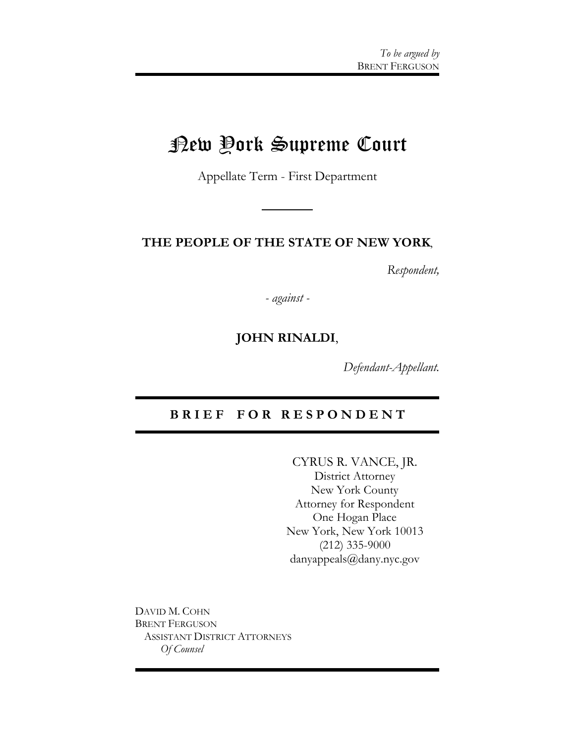# New York Supreme Court

Appellate Term - First Department

#### **THE PEOPLE OF THE STATE OF NEW YORK**,

*Respondent,*

*- against -*

### **JOHN RINALDI**,

*Defendant-Appellant.*

#### **B R I E F F O R R E S P O N D E N T**

CYRUS R. VANCE, JR. District Attorney New York County Attorney for Respondent One Hogan Place New York, New York 10013 (212) 335-9000 danyappeals@dany.nyc.gov

DAVID M. COHN BRENT FERGUSON ASSISTANT DISTRICT ATTORNEYS *Of Counsel*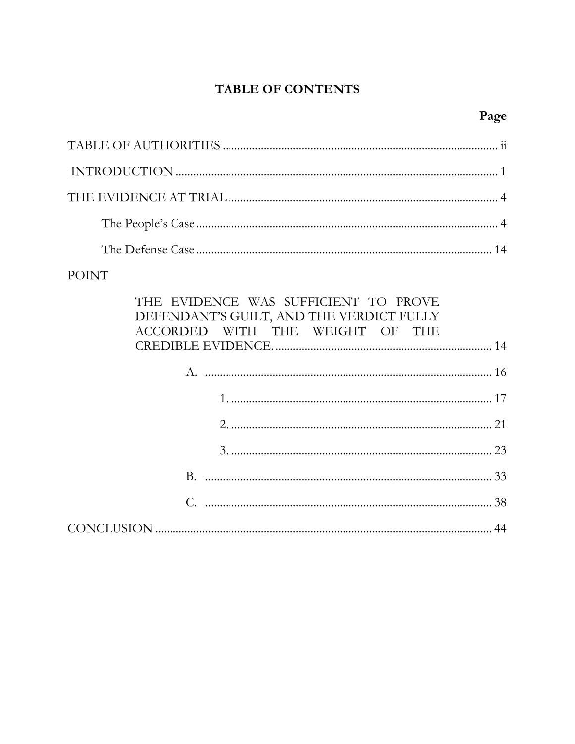## **TABLE OF CONTENTS**

## Page

## **POINT**

| THE EVIDENCE WAS SUFFICIENT TO PROVE<br>DEFENDANT'S GUILT, AND THE VERDICT FULLY<br>ACCORDED WITH THE WEIGHT OF THE |  |
|---------------------------------------------------------------------------------------------------------------------|--|
|                                                                                                                     |  |
|                                                                                                                     |  |
|                                                                                                                     |  |
|                                                                                                                     |  |
|                                                                                                                     |  |
|                                                                                                                     |  |
|                                                                                                                     |  |
|                                                                                                                     |  |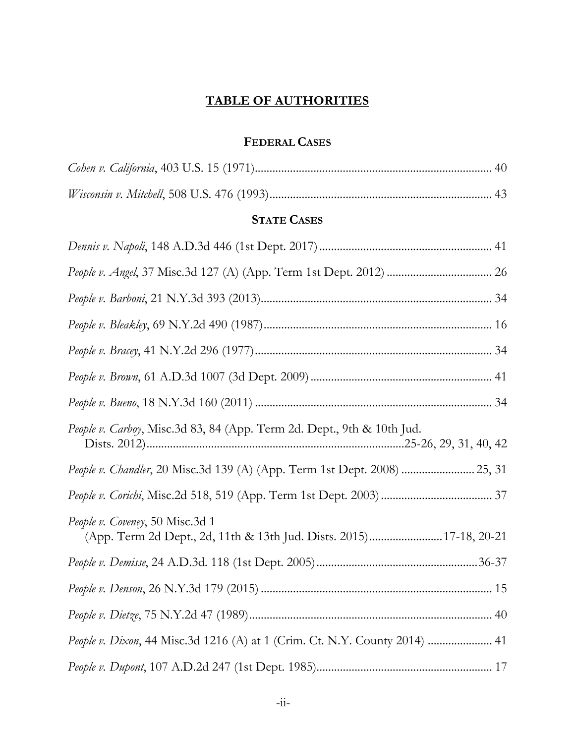## **TABLE OF AUTHORITIES**

## **FEDERAL CASES**

| <b>STATE CASES</b>                                                                                     |
|--------------------------------------------------------------------------------------------------------|
|                                                                                                        |
|                                                                                                        |
|                                                                                                        |
|                                                                                                        |
|                                                                                                        |
|                                                                                                        |
|                                                                                                        |
| People v. Carboy, Misc.3d 83, 84 (App. Term 2d. Dept., 9th & 10th Jud.                                 |
| People v. Chandler, 20 Misc.3d 139 (A) (App. Term 1st Dept. 2008)  25, 31                              |
|                                                                                                        |
| People v. Coveney, 50 Misc.3d 1<br>(App. Term 2d Dept., 2d, 11th & 13th Jud. Dists. 2015) 17-18, 20-21 |
|                                                                                                        |
|                                                                                                        |
|                                                                                                        |
| People v. Dixon, 44 Misc.3d 1216 (A) at 1 (Crim. Ct. N.Y. County 2014)  41                             |
|                                                                                                        |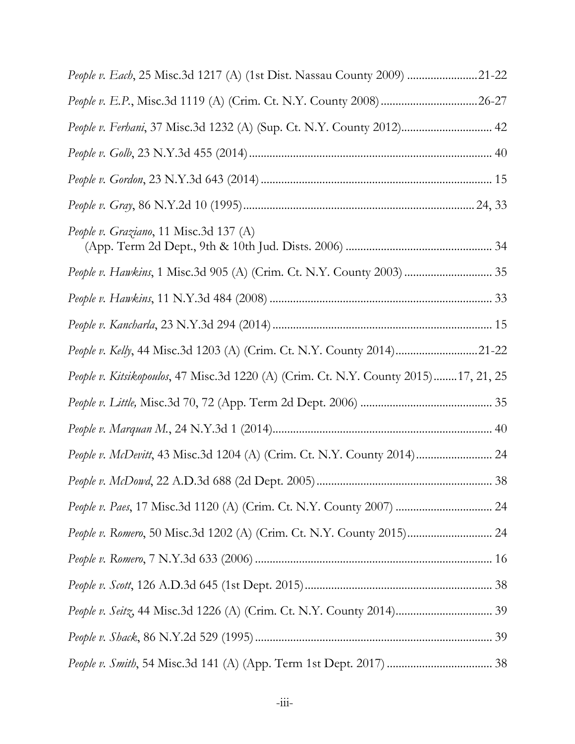| People v. Each, 25 Misc.3d 1217 (A) (1st Dist. Nassau County 2009) 21-22            |  |
|-------------------------------------------------------------------------------------|--|
|                                                                                     |  |
| People v. Ferhani, 37 Misc.3d 1232 (A) (Sup. Ct. N.Y. County 2012) 42               |  |
|                                                                                     |  |
|                                                                                     |  |
|                                                                                     |  |
| People v. Graziano, 11 Misc.3d 137 (A)                                              |  |
| People v. Hawkins, 1 Misc.3d 905 (A) (Crim. Ct. N.Y. County 2003)  35               |  |
|                                                                                     |  |
|                                                                                     |  |
| People v. Kelly, 44 Misc.3d 1203 (A) (Crim. Ct. N.Y. County 2014)21-22              |  |
| People v. Kitsikopoulos, 47 Misc.3d 1220 (A) (Crim. Ct. N.Y. County 2015)17, 21, 25 |  |
|                                                                                     |  |
|                                                                                     |  |
| People v. McDevitt, 43 Misc.3d 1204 (A) (Crim. Ct. N.Y. County 2014) 24             |  |
|                                                                                     |  |
|                                                                                     |  |
| People v. Romero, 50 Misc.3d 1202 (A) (Crim. Ct. N.Y. County 2015) 24               |  |
|                                                                                     |  |
|                                                                                     |  |
|                                                                                     |  |
|                                                                                     |  |
|                                                                                     |  |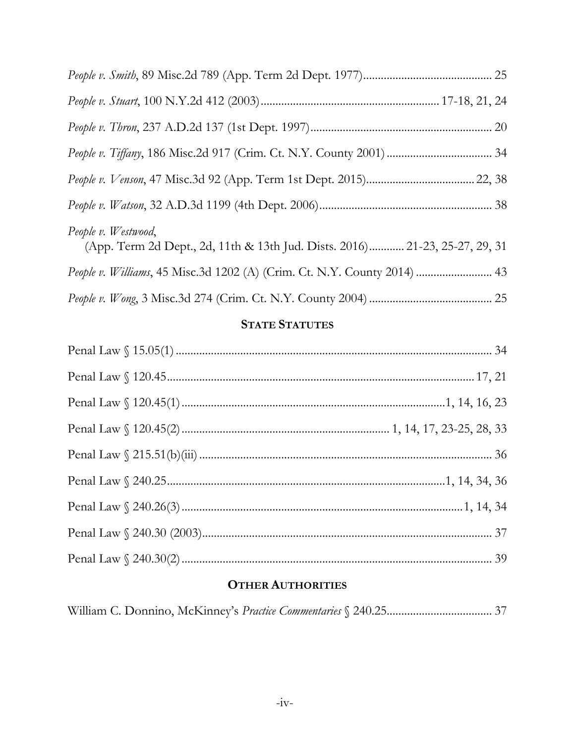| People v. Westwood,<br>(App. Term 2d Dept., 2d, 11th & 13th Jud. Dists. 2016) 21-23, 25-27, 29, 31 |
|----------------------------------------------------------------------------------------------------|
| People v. Williams, 45 Misc.3d 1202 (A) (Crim. Ct. N.Y. County 2014)  43                           |
|                                                                                                    |

## **STATE STATUTES**

## **OTHER AUTHORITIES**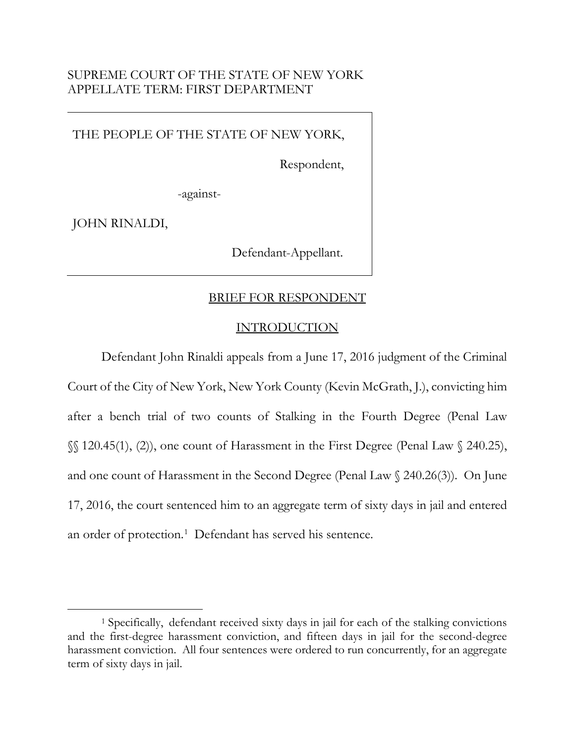### SUPREME COURT OF THE STATE OF NEW YORK APPELLATE TERM: FIRST DEPARTMENT

THE PEOPLE OF THE STATE OF NEW YORK,

Respondent,

-against-

JOHN RINALDI,

Defendant-Appellant.

#### BRIEF FOR RESPONDENT

#### INTRODUCTION

Defendant John Rinaldi appeals from a June 17, 2016 judgment of the Criminal Court of the City of New York, New York County (Kevin McGrath, J.), convicting him after a bench trial of two counts of Stalking in the Fourth Degree (Penal Law §§ 120.45(1), (2)), one count of Harassment in the First Degree (Penal Law § 240.25), and one count of Harassment in the Second Degree (Penal Law § 240.26(3)). On June 17, 2016, the court sentenced him to an aggregate term of sixty days in jail and entered an order of protection.<sup>[1](#page-5-0)</sup> Defendant has served his sentence.

<span id="page-5-0"></span> <sup>1</sup> Specifically, defendant received sixty days in jail for each of the stalking convictions and the first-degree harassment conviction, and fifteen days in jail for the second-degree harassment conviction. All four sentences were ordered to run concurrently, for an aggregate term of sixty days in jail.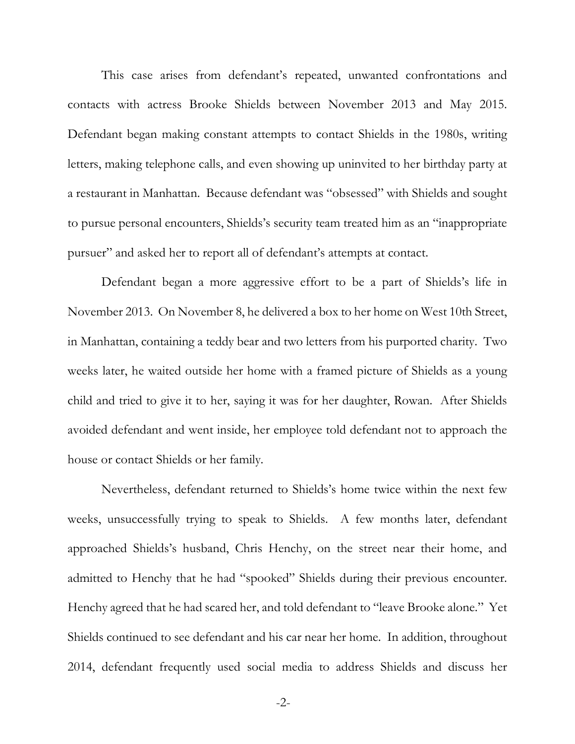This case arises from defendant's repeated, unwanted confrontations and contacts with actress Brooke Shields between November 2013 and May 2015. Defendant began making constant attempts to contact Shields in the 1980s, writing letters, making telephone calls, and even showing up uninvited to her birthday party at a restaurant in Manhattan. Because defendant was "obsessed" with Shields and sought to pursue personal encounters, Shields's security team treated him as an "inappropriate pursuer" and asked her to report all of defendant's attempts at contact.

Defendant began a more aggressive effort to be a part of Shields's life in November 2013. On November 8, he delivered a box to her home on West 10th Street, in Manhattan, containing a teddy bear and two letters from his purported charity. Two weeks later, he waited outside her home with a framed picture of Shields as a young child and tried to give it to her, saying it was for her daughter, Rowan. After Shields avoided defendant and went inside, her employee told defendant not to approach the house or contact Shields or her family.

Nevertheless, defendant returned to Shields's home twice within the next few weeks, unsuccessfully trying to speak to Shields. A few months later, defendant approached Shields's husband, Chris Henchy, on the street near their home, and admitted to Henchy that he had "spooked" Shields during their previous encounter. Henchy agreed that he had scared her, and told defendant to "leave Brooke alone." Yet Shields continued to see defendant and his car near her home. In addition, throughout 2014, defendant frequently used social media to address Shields and discuss her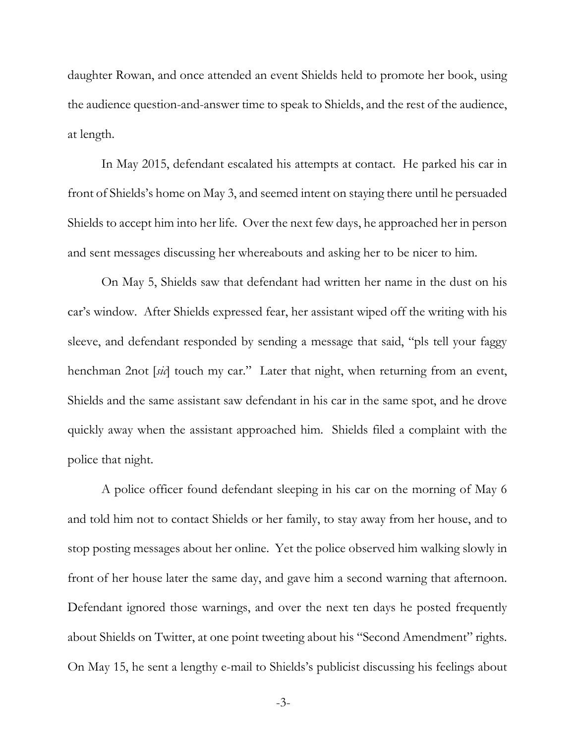daughter Rowan, and once attended an event Shields held to promote her book, using the audience question-and-answer time to speak to Shields, and the rest of the audience, at length.

In May 2015, defendant escalated his attempts at contact. He parked his car in front of Shields's home on May 3, and seemed intent on staying there until he persuaded Shields to accept him into her life. Over the next few days, he approached her in person and sent messages discussing her whereabouts and asking her to be nicer to him.

On May 5, Shields saw that defendant had written her name in the dust on his car's window. After Shields expressed fear, her assistant wiped off the writing with his sleeve, and defendant responded by sending a message that said, "pls tell your faggy henchman 2not [*sic*] touch my car." Later that night, when returning from an event, Shields and the same assistant saw defendant in his car in the same spot, and he drove quickly away when the assistant approached him. Shields filed a complaint with the police that night.

A police officer found defendant sleeping in his car on the morning of May 6 and told him not to contact Shields or her family, to stay away from her house, and to stop posting messages about her online. Yet the police observed him walking slowly in front of her house later the same day, and gave him a second warning that afternoon. Defendant ignored those warnings, and over the next ten days he posted frequently about Shields on Twitter, at one point tweeting about his "Second Amendment" rights. On May 15, he sent a lengthy e-mail to Shields's publicist discussing his feelings about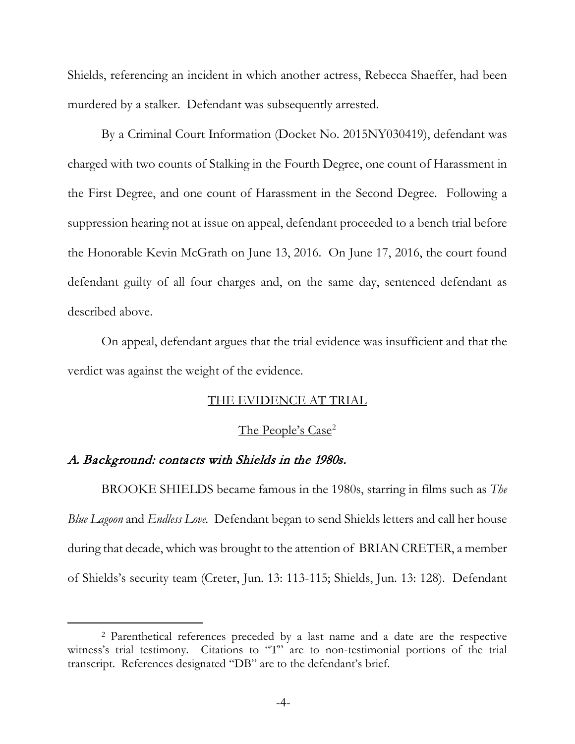Shields, referencing an incident in which another actress, Rebecca Shaeffer, had been murdered by a stalker. Defendant was subsequently arrested.

By a Criminal Court Information (Docket No. 2015NY030419), defendant was charged with two counts of Stalking in the Fourth Degree, one count of Harassment in the First Degree, and one count of Harassment in the Second Degree. Following a suppression hearing not at issue on appeal, defendant proceeded to a bench trial before the Honorable Kevin McGrath on June 13, 2016. On June 17, 2016, the court found defendant guilty of all four charges and, on the same day, sentenced defendant as described above.

On appeal, defendant argues that the trial evidence was insufficient and that the verdict was against the weight of the evidence.

#### THE EVIDENCE AT TRIAL

#### The People's Case<sup>[2](#page-8-0)</sup>

#### A. Background: contacts with Shields in the 1980s.

BROOKE SHIELDS became famous in the 1980s, starring in films such as *The Blue Lagoon* and *Endless Love.* Defendant began to send Shields letters and call her house during that decade, which was brought to the attention of BRIAN CRETER, a member of Shields's security team (Creter, Jun. 13: 113-115; Shields, Jun. 13: 128). Defendant

<span id="page-8-0"></span> <sup>2</sup> Parenthetical references preceded by a last name and a date are the respective witness's trial testimony. Citations to "T" are to non-testimonial portions of the trial transcript. References designated "DB" are to the defendant's brief.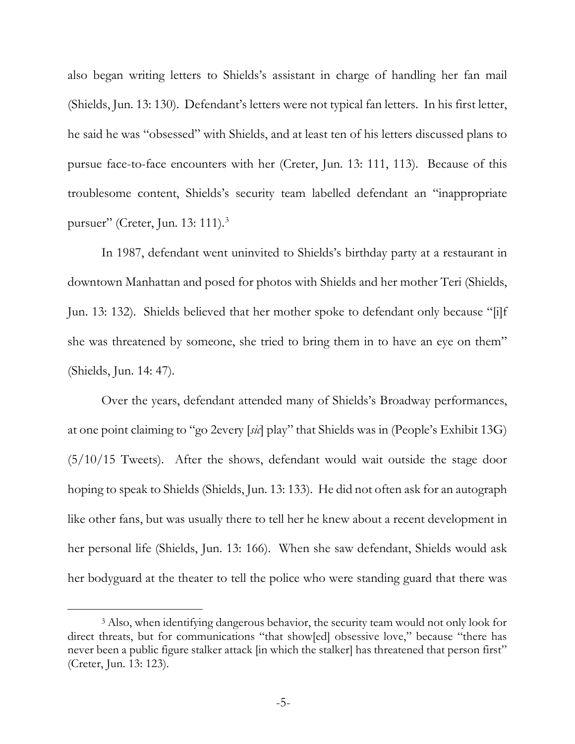also began writing letters to Shields's assistant in charge of handling her fan mail (Shields, Jun. 13: 130). Defendant's letters were not typical fan letters. In his first letter, he said he was "obsessed" with Shields, and at least ten of his letters discussed plans to pursue face-to-face encounters with her (Creter, Jun. 13: 111, 113). Because of this troublesome content, Shields's security team labelled defendant an "inappropriate pursuer" (Creter, Jun. 13: 111).[3](#page-9-0)

In 1987, defendant went uninvited to Shields's birthday party at a restaurant in downtown Manhattan and posed for photos with Shields and her mother Teri (Shields, Jun. 13: 132). Shields believed that her mother spoke to defendant only because "[i]f she was threatened by someone, she tried to bring them in to have an eye on them" (Shields, Jun. 14: 47).

Over the years, defendant attended many of Shields's Broadway performances, at one point claiming to "go 2every [*sic*] play" that Shields was in (People's Exhibit 13G) (5/10/15 Tweets). After the shows, defendant would wait outside the stage door hoping to speak to Shields (Shields, Jun. 13: 133). He did not often ask for an autograph like other fans, but was usually there to tell her he knew about a recent development in her personal life (Shields, Jun. 13: 166). When she saw defendant, Shields would ask her bodyguard at the theater to tell the police who were standing guard that there was

<span id="page-9-0"></span> <sup>3</sup> Also, when identifying dangerous behavior, the security team would not only look for direct threats, but for communications "that show[ed] obsessive love," because "there has never been a public figure stalker attack [in which the stalker] has threatened that person first" (Creter, Jun. 13: 123).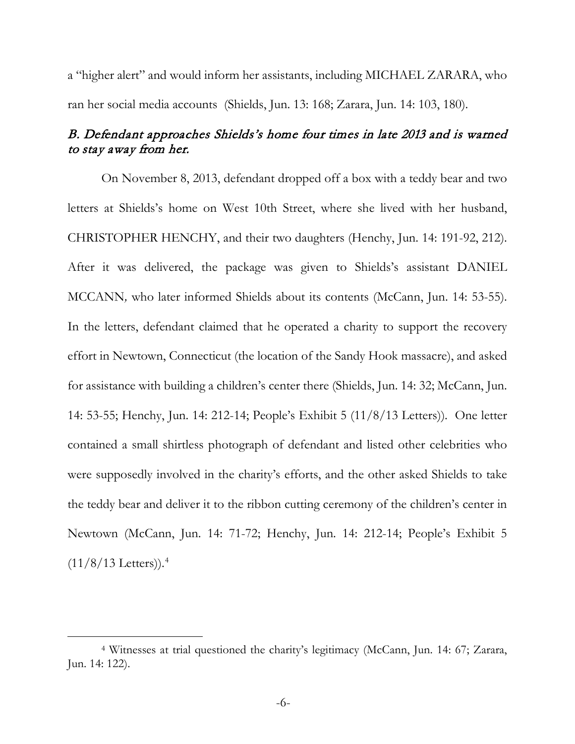a "higher alert" and would inform her assistants, including MICHAEL ZARARA, who ran her social media accounts (Shields, Jun. 13: 168; Zarara, Jun. 14: 103, 180).

### B. Defendant approaches Shields's home four times in late 2013 and is warned to stay away from her.

On November 8, 2013, defendant dropped off a box with a teddy bear and two letters at Shields's home on West 10th Street, where she lived with her husband, CHRISTOPHER HENCHY, and their two daughters (Henchy, Jun. 14: 191-92, 212). After it was delivered, the package was given to Shields's assistant DANIEL MCCANN*,* who later informed Shields about its contents (McCann, Jun. 14: 53-55). In the letters, defendant claimed that he operated a charity to support the recovery effort in Newtown, Connecticut (the location of the Sandy Hook massacre), and asked for assistance with building a children's center there (Shields, Jun. 14: 32; McCann, Jun. 14: 53-55; Henchy, Jun. 14: 212-14; People's Exhibit 5 (11/8/13 Letters)). One letter contained a small shirtless photograph of defendant and listed other celebrities who were supposedly involved in the charity's efforts, and the other asked Shields to take the teddy bear and deliver it to the ribbon cutting ceremony of the children's center in Newtown (McCann, Jun. 14: 71-72; Henchy, Jun. 14: 212-14; People's Exhibit 5  $(11/8/13$  Letters)).<sup>[4](#page-10-0)</sup>

<span id="page-10-0"></span> <sup>4</sup> Witnesses at trial questioned the charity's legitimacy (McCann, Jun. 14: 67; Zarara, Jun. 14: 122).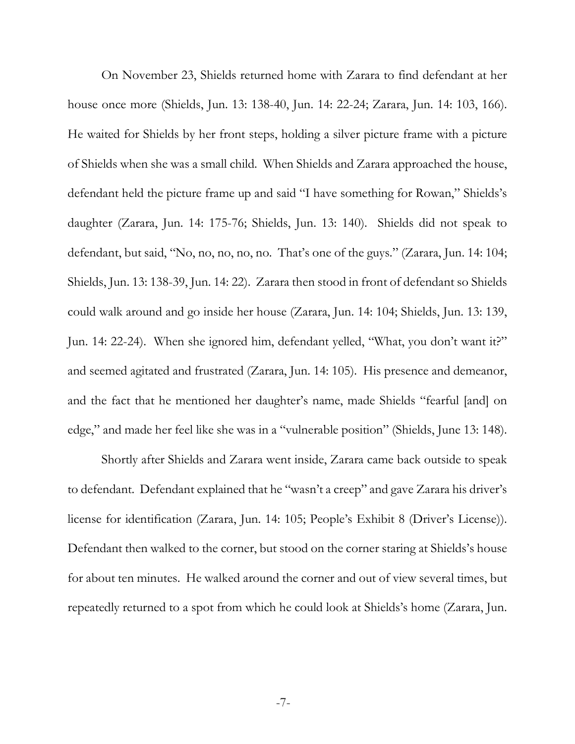On November 23, Shields returned home with Zarara to find defendant at her house once more (Shields, Jun. 13: 138-40, Jun. 14: 22-24; Zarara, Jun. 14: 103, 166). He waited for Shields by her front steps, holding a silver picture frame with a picture of Shields when she was a small child. When Shields and Zarara approached the house, defendant held the picture frame up and said "I have something for Rowan," Shields's daughter (Zarara, Jun. 14: 175-76; Shields, Jun. 13: 140). Shields did not speak to defendant, but said, "No, no, no, no, no. That's one of the guys." (Zarara, Jun. 14: 104; Shields, Jun. 13: 138-39, Jun. 14: 22). Zarara then stood in front of defendant so Shields could walk around and go inside her house (Zarara, Jun. 14: 104; Shields, Jun. 13: 139, Jun. 14: 22-24). When she ignored him, defendant yelled, "What, you don't want it?" and seemed agitated and frustrated (Zarara, Jun. 14: 105). His presence and demeanor, and the fact that he mentioned her daughter's name, made Shields "fearful [and] on edge," and made her feel like she was in a "vulnerable position" (Shields, June 13: 148).

Shortly after Shields and Zarara went inside, Zarara came back outside to speak to defendant. Defendant explained that he "wasn't a creep" and gave Zarara his driver's license for identification (Zarara, Jun. 14: 105; People's Exhibit 8 (Driver's License)). Defendant then walked to the corner, but stood on the corner staring at Shields's house for about ten minutes. He walked around the corner and out of view several times, but repeatedly returned to a spot from which he could look at Shields's home (Zarara, Jun.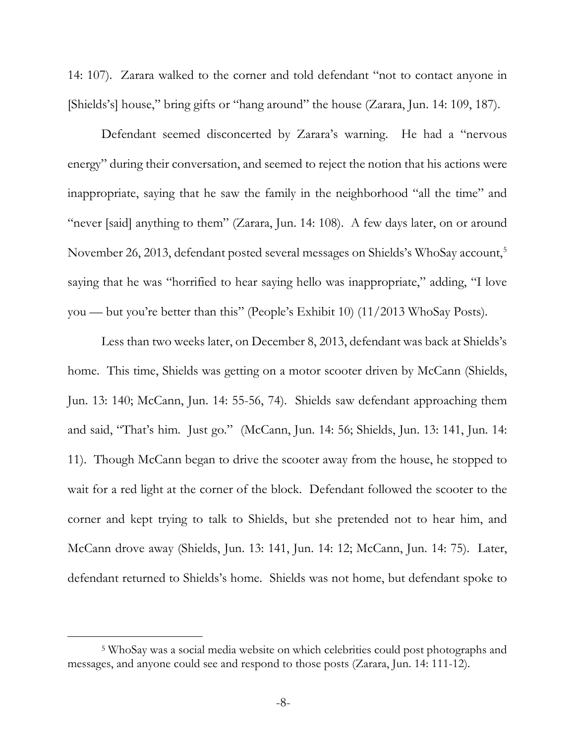14: 107). Zarara walked to the corner and told defendant "not to contact anyone in [Shields's] house," bring gifts or "hang around" the house (Zarara, Jun. 14: 109, 187).

Defendant seemed disconcerted by Zarara's warning. He had a "nervous energy" during their conversation, and seemed to reject the notion that his actions were inappropriate, saying that he saw the family in the neighborhood "all the time" and "never [said] anything to them" (Zarara, Jun. 14: 108). A few days later, on or around November 26, 2013, defendant posted several messages on Shields's WhoSay account,<sup>[5](#page-12-0)</sup> saying that he was "horrified to hear saying hello was inappropriate," adding, "I love you — but you're better than this" (People's Exhibit 10) (11/2013 WhoSay Posts).

Less than two weeks later, on December 8, 2013, defendant was back at Shields's home. This time, Shields was getting on a motor scooter driven by McCann (Shields, Jun. 13: 140; McCann, Jun. 14: 55-56, 74). Shields saw defendant approaching them and said, "That's him. Just go." (McCann, Jun. 14: 56; Shields, Jun. 13: 141, Jun. 14: 11). Though McCann began to drive the scooter away from the house, he stopped to wait for a red light at the corner of the block. Defendant followed the scooter to the corner and kept trying to talk to Shields, but she pretended not to hear him, and McCann drove away (Shields, Jun. 13: 141, Jun. 14: 12; McCann, Jun. 14: 75). Later, defendant returned to Shields's home. Shields was not home, but defendant spoke to

<span id="page-12-0"></span> <sup>5</sup> WhoSay was a social media website on which celebrities could post photographs and messages, and anyone could see and respond to those posts (Zarara, Jun. 14: 111-12).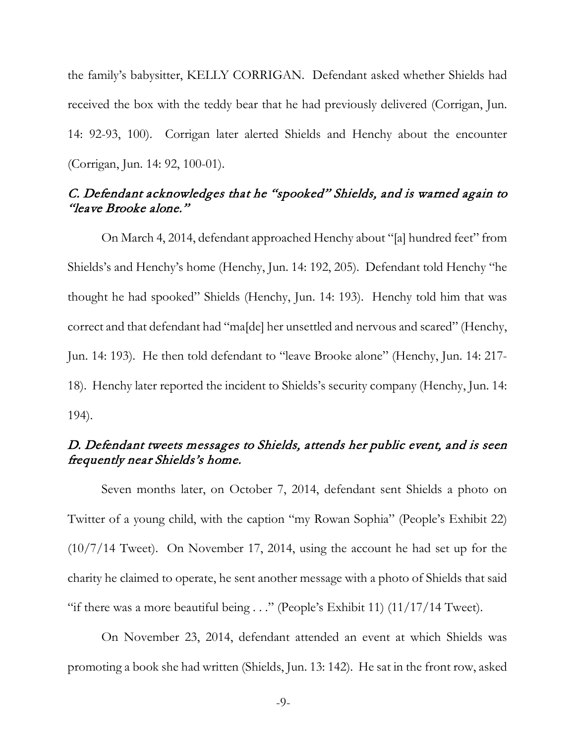the family's babysitter, KELLY CORRIGAN. Defendant asked whether Shields had received the box with the teddy bear that he had previously delivered (Corrigan, Jun. 14: 92-93, 100). Corrigan later alerted Shields and Henchy about the encounter (Corrigan, Jun. 14: 92, 100-01).

## C. Defendant acknowledges that he "spooked" Shields, and is warned again to "leave Brooke alone."

On March 4, 2014, defendant approached Henchy about "[a] hundred feet" from Shields's and Henchy's home (Henchy, Jun. 14: 192, 205). Defendant told Henchy "he thought he had spooked" Shields (Henchy, Jun. 14: 193). Henchy told him that was correct and that defendant had "ma[de] her unsettled and nervous and scared" (Henchy, Jun. 14: 193). He then told defendant to "leave Brooke alone" (Henchy, Jun. 14: 217- 18). Henchy later reported the incident to Shields's security company (Henchy, Jun. 14: 194).

### D. Defendant tweets messages to Shields, attends her public event, and is seen frequently near Shields's home.

Seven months later, on October 7, 2014, defendant sent Shields a photo on Twitter of a young child, with the caption "my Rowan Sophia" (People's Exhibit 22) (10/7/14 Tweet). On November 17, 2014, using the account he had set up for the charity he claimed to operate, he sent another message with a photo of Shields that said "if there was a more beautiful being  $\ldots$ " (People's Exhibit 11) (11/17/14 Tweet).

On November 23, 2014, defendant attended an event at which Shields was promoting a book she had written (Shields, Jun. 13: 142). He sat in the front row, asked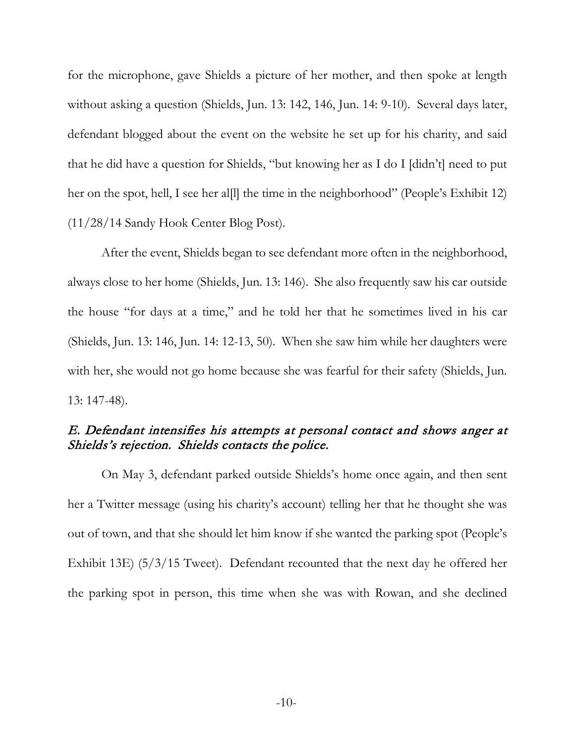for the microphone, gave Shields a picture of her mother, and then spoke at length without asking a question (Shields, Jun. 13: 142, 146, Jun. 14: 9-10). Several days later, defendant blogged about the event on the website he set up for his charity, and said that he did have a question for Shields, "but knowing her as I do I [didn't] need to put her on the spot, hell, I see her all the time in the neighborhood" (People's Exhibit 12) (11/28/14 Sandy Hook Center Blog Post).

After the event, Shields began to see defendant more often in the neighborhood, always close to her home (Shields, Jun. 13: 146). She also frequently saw his car outside the house "for days at a time," and he told her that he sometimes lived in his car (Shields, Jun. 13: 146, Jun. 14: 12-13, 50). When she saw him while her daughters were with her, she would not go home because she was fearful for their safety (Shields, Jun. 13: 147-48).

## E. Defendant intensifies his attempts at personal contact and shows anger at Shields's rejection. Shields contacts the police.

On May 3, defendant parked outside Shields's home once again, and then sent her a Twitter message (using his charity's account) telling her that he thought she was out of town, and that she should let him know if she wanted the parking spot (People's Exhibit 13E) (5/3/15 Tweet). Defendant recounted that the next day he offered her the parking spot in person, this time when she was with Rowan, and she declined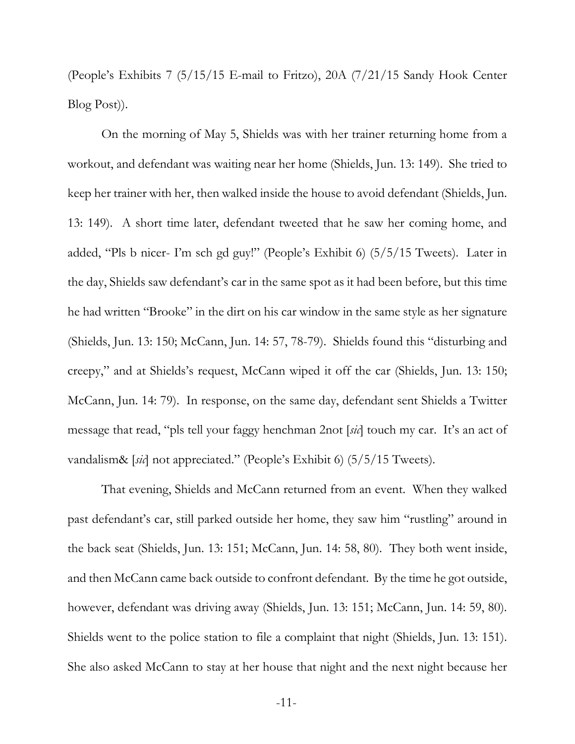(People's Exhibits 7 (5/15/15 E-mail to Fritzo), 20A (7/21/15 Sandy Hook Center Blog Post)).

On the morning of May 5, Shields was with her trainer returning home from a workout, and defendant was waiting near her home (Shields, Jun. 13: 149). She tried to keep her trainer with her, then walked inside the house to avoid defendant (Shields, Jun. 13: 149). A short time later, defendant tweeted that he saw her coming home, and added, "Pls b nicer- I'm sch gd guy!" (People's Exhibit 6) (5/5/15 Tweets). Later in the day, Shields saw defendant's car in the same spot as it had been before, but this time he had written "Brooke" in the dirt on his car window in the same style as her signature (Shields, Jun. 13: 150; McCann, Jun. 14: 57, 78-79). Shields found this "disturbing and creepy," and at Shields's request, McCann wiped it off the car (Shields, Jun. 13: 150; McCann, Jun. 14: 79). In response, on the same day, defendant sent Shields a Twitter message that read, "pls tell your faggy henchman 2not [*sic*] touch my car. It's an act of vandalism& [*sic*] not appreciated." (People's Exhibit 6) (5/5/15 Tweets).

That evening, Shields and McCann returned from an event. When they walked past defendant's car, still parked outside her home, they saw him "rustling" around in the back seat (Shields, Jun. 13: 151; McCann, Jun. 14: 58, 80). They both went inside, and then McCann came back outside to confront defendant. By the time he got outside, however, defendant was driving away (Shields, Jun. 13: 151; McCann, Jun. 14: 59, 80). Shields went to the police station to file a complaint that night (Shields, Jun. 13: 151). She also asked McCann to stay at her house that night and the next night because her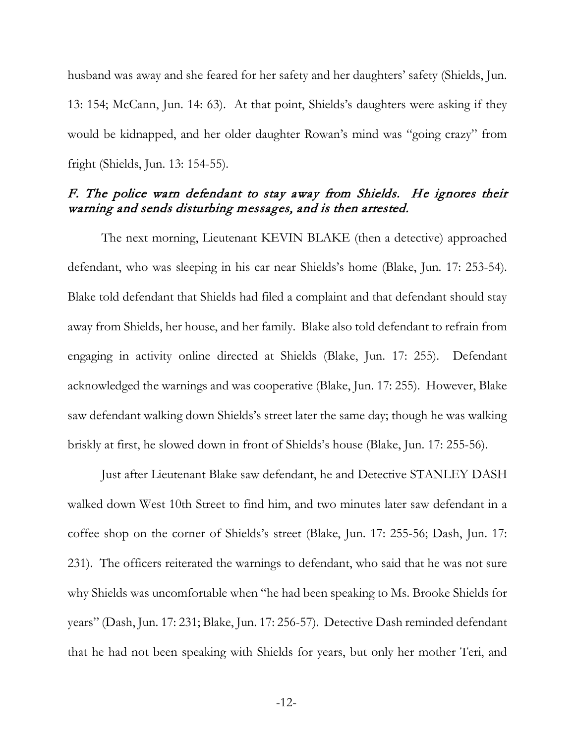husband was away and she feared for her safety and her daughters' safety (Shields, Jun. 13: 154; McCann, Jun. 14: 63). At that point, Shields's daughters were asking if they would be kidnapped, and her older daughter Rowan's mind was "going crazy" from fright (Shields, Jun. 13: 154-55).

### F. The police warn defendant to stay away from Shields. He ignores their warning and sends disturbing messages, and is then arrested.

The next morning, Lieutenant KEVIN BLAKE (then a detective) approached defendant, who was sleeping in his car near Shields's home (Blake, Jun. 17: 253-54). Blake told defendant that Shields had filed a complaint and that defendant should stay away from Shields, her house, and her family. Blake also told defendant to refrain from engaging in activity online directed at Shields (Blake, Jun. 17: 255). Defendant acknowledged the warnings and was cooperative (Blake, Jun. 17: 255). However, Blake saw defendant walking down Shields's street later the same day; though he was walking briskly at first, he slowed down in front of Shields's house (Blake, Jun. 17: 255-56).

Just after Lieutenant Blake saw defendant, he and Detective STANLEY DASH walked down West 10th Street to find him, and two minutes later saw defendant in a coffee shop on the corner of Shields's street (Blake, Jun. 17: 255-56; Dash, Jun. 17: 231). The officers reiterated the warnings to defendant, who said that he was not sure why Shields was uncomfortable when "he had been speaking to Ms. Brooke Shields for years" (Dash, Jun. 17: 231; Blake, Jun. 17: 256-57). Detective Dash reminded defendant that he had not been speaking with Shields for years, but only her mother Teri, and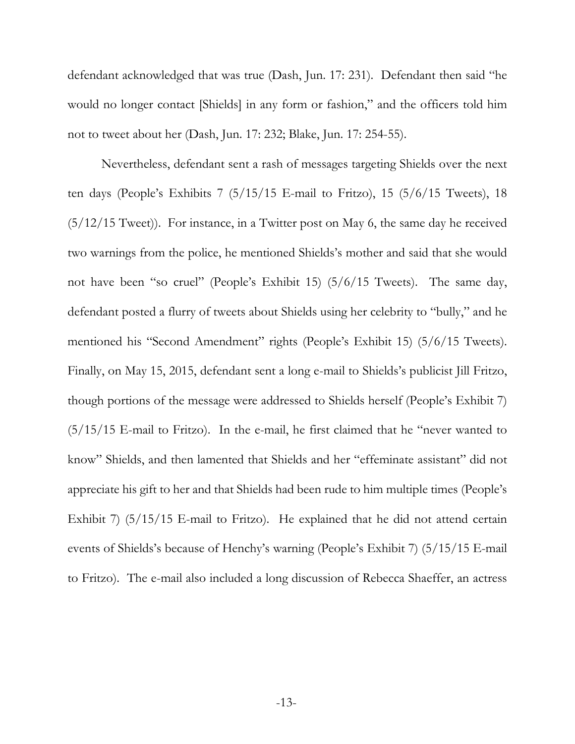defendant acknowledged that was true (Dash, Jun. 17: 231). Defendant then said "he would no longer contact [Shields] in any form or fashion," and the officers told him not to tweet about her (Dash, Jun. 17: 232; Blake, Jun. 17: 254-55).

Nevertheless, defendant sent a rash of messages targeting Shields over the next ten days (People's Exhibits 7  $(5/15/15)$  E-mail to Fritzo), 15  $(5/6/15)$  Tweets), 18 (5/12/15 Tweet)). For instance, in a Twitter post on May 6, the same day he received two warnings from the police, he mentioned Shields's mother and said that she would not have been "so cruel" (People's Exhibit 15) (5/6/15 Tweets). The same day, defendant posted a flurry of tweets about Shields using her celebrity to "bully," and he mentioned his "Second Amendment" rights (People's Exhibit 15) (5/6/15 Tweets). Finally, on May 15, 2015, defendant sent a long e-mail to Shields's publicist Jill Fritzo, though portions of the message were addressed to Shields herself (People's Exhibit 7) (5/15/15 E-mail to Fritzo). In the e-mail, he first claimed that he "never wanted to know" Shields, and then lamented that Shields and her "effeminate assistant" did not appreciate his gift to her and that Shields had been rude to him multiple times (People's Exhibit 7) (5/15/15 E-mail to Fritzo). He explained that he did not attend certain events of Shields's because of Henchy's warning (People's Exhibit 7) (5/15/15 E-mail to Fritzo). The e-mail also included a long discussion of Rebecca Shaeffer, an actress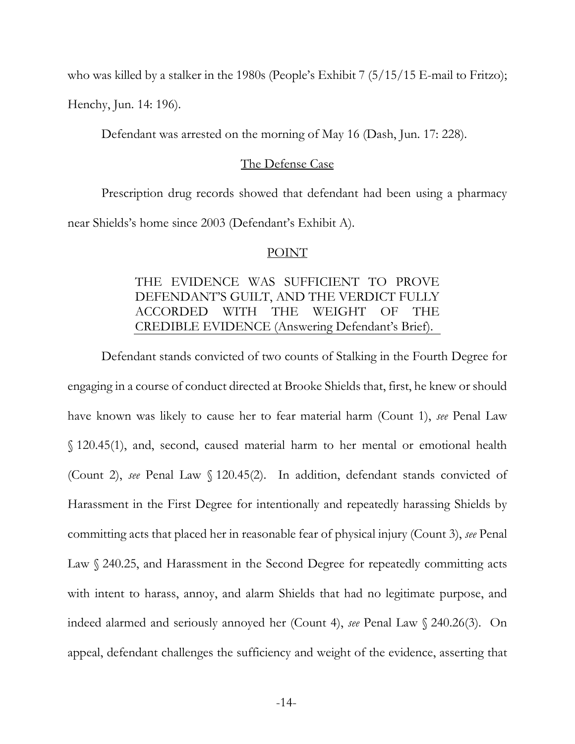who was killed by a stalker in the 1980s (People's Exhibit 7 (5/15/15 E-mail to Fritzo);

Henchy, Jun. 14: 196).

Defendant was arrested on the morning of May 16 (Dash, Jun. 17: 228).

#### The Defense Case

Prescription drug records showed that defendant had been using a pharmacy near Shields's home since 2003 (Defendant's Exhibit A).

#### POINT

## THE EVIDENCE WAS SUFFICIENT TO PROVE DEFENDANT'S GUILT, AND THE VERDICT FULLY ACCORDED WITH THE WEIGHT OF THE CREDIBLE EVIDENCE (Answering Defendant's Brief).

Defendant stands convicted of two counts of Stalking in the Fourth Degree for engaging in a course of conduct directed at Brooke Shields that, first, he knew or should have known was likely to cause her to fear material harm (Count 1), *see* Penal Law § 120.45(1), and, second, caused material harm to her mental or emotional health (Count 2), *see* Penal Law § 120.45(2). In addition, defendant stands convicted of Harassment in the First Degree for intentionally and repeatedly harassing Shields by committing acts that placed her in reasonable fear of physical injury (Count 3), *see* Penal Law § 240.25, and Harassment in the Second Degree for repeatedly committing acts with intent to harass, annoy, and alarm Shields that had no legitimate purpose, and indeed alarmed and seriously annoyed her (Count 4), *see* Penal Law § 240.26(3). On appeal, defendant challenges the sufficiency and weight of the evidence, asserting that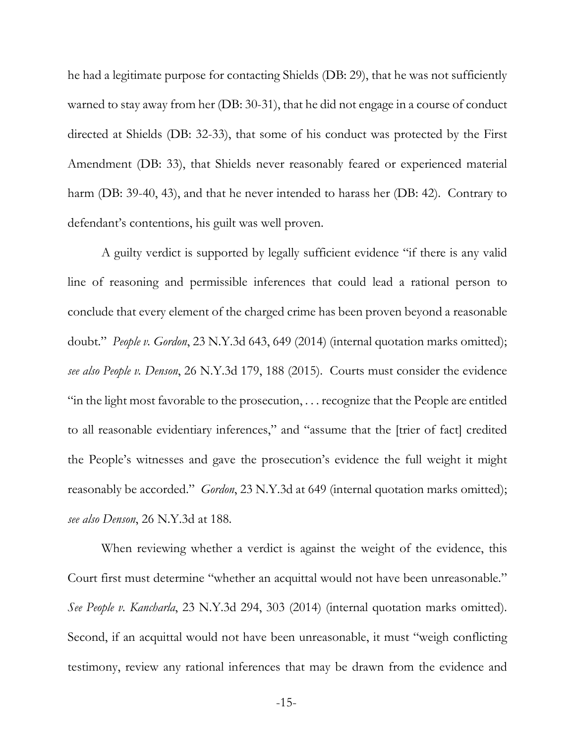he had a legitimate purpose for contacting Shields (DB: 29), that he was not sufficiently warned to stay away from her (DB: 30-31), that he did not engage in a course of conduct directed at Shields (DB: 32-33), that some of his conduct was protected by the First Amendment (DB: 33), that Shields never reasonably feared or experienced material harm (DB: 39-40, 43), and that he never intended to harass her (DB: 42). Contrary to defendant's contentions, his guilt was well proven.

A guilty verdict is supported by legally sufficient evidence "if there is any valid line of reasoning and permissible inferences that could lead a rational person to conclude that every element of the charged crime has been proven beyond a reasonable doubt." *People v. Gordon*, 23 N.Y.3d 643, 649 (2014) (internal quotation marks omitted); *see also People v. Denson*, 26 N.Y.3d 179, 188 (2015). Courts must consider the evidence "in the light most favorable to the prosecution, . . . recognize that the People are entitled to all reasonable evidentiary inferences," and "assume that the [trier of fact] credited the People's witnesses and gave the prosecution's evidence the full weight it might reasonably be accorded." *Gordon*, 23 N.Y.3d at 649 (internal quotation marks omitted); *see also Denson*, 26 N.Y.3d at 188.

When reviewing whether a verdict is against the weight of the evidence, this Court first must determine "whether an acquittal would not have been unreasonable." *See People v. Kancharla*, 23 N.Y.3d 294, 303 (2014) (internal quotation marks omitted). Second, if an acquittal would not have been unreasonable, it must "weigh conflicting testimony, review any rational inferences that may be drawn from the evidence and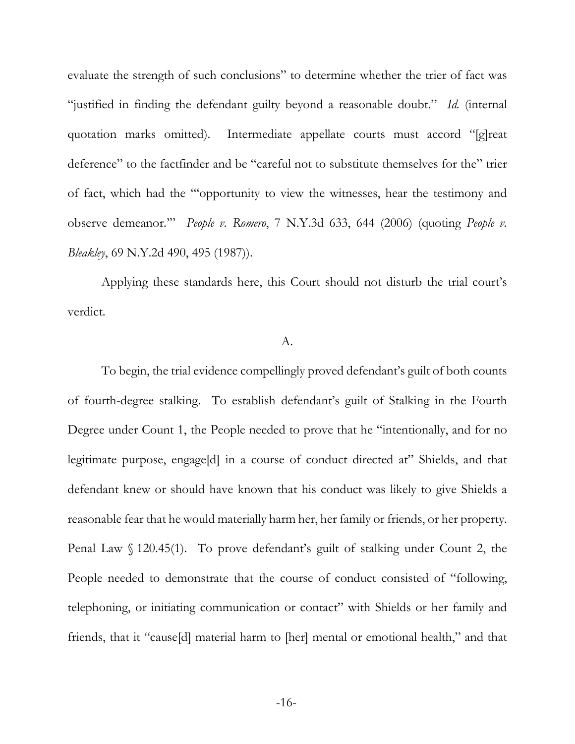evaluate the strength of such conclusions" to determine whether the trier of fact was "justified in finding the defendant guilty beyond a reasonable doubt." *Id.* (internal quotation marks omitted). Intermediate appellate courts must accord "[g]reat deference" to the factfinder and be "careful not to substitute themselves for the" trier of fact, which had the "'opportunity to view the witnesses, hear the testimony and observe demeanor.'" *People v. Romero*, 7 N.Y.3d 633, 644 (2006) (quoting *People v. Bleakley*, 69 N.Y.2d 490, 495 (1987)).

Applying these standards here, this Court should not disturb the trial court's verdict.

#### A.

To begin, the trial evidence compellingly proved defendant's guilt of both counts of fourth-degree stalking. To establish defendant's guilt of Stalking in the Fourth Degree under Count 1, the People needed to prove that he "intentionally, and for no legitimate purpose, engage[d] in a course of conduct directed at" Shields, and that defendant knew or should have known that his conduct was likely to give Shields a reasonable fear that he would materially harm her, her family or friends, or her property. Penal Law § 120.45(1). To prove defendant's guilt of stalking under Count 2, the People needed to demonstrate that the course of conduct consisted of "following, telephoning, or initiating communication or contact" with Shields or her family and friends, that it "cause[d] material harm to [her] mental or emotional health," and that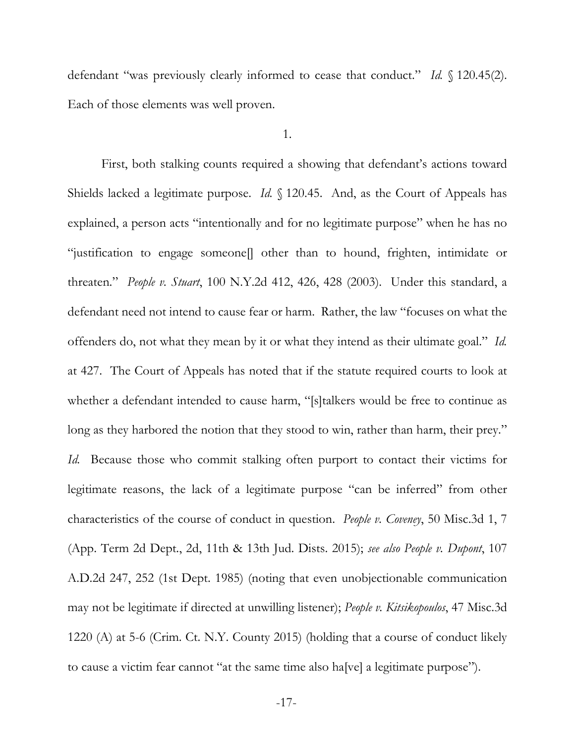defendant "was previously clearly informed to cease that conduct." *Id.* § 120.45(2). Each of those elements was well proven.

1.

First, both stalking counts required a showing that defendant's actions toward Shields lacked a legitimate purpose. *Id.* § 120.45. And, as the Court of Appeals has explained, a person acts "intentionally and for no legitimate purpose" when he has no "justification to engage someone[] other than to hound, frighten, intimidate or threaten." *People v. Stuart*, 100 N.Y.2d 412, 426, 428 (2003). Under this standard, a defendant need not intend to cause fear or harm. Rather, the law "focuses on what the offenders do, not what they mean by it or what they intend as their ultimate goal." *Id.* at 427. The Court of Appeals has noted that if the statute required courts to look at whether a defendant intended to cause harm, "[s]talkers would be free to continue as long as they harbored the notion that they stood to win, rather than harm, their prey." *Id.* Because those who commit stalking often purport to contact their victims for legitimate reasons, the lack of a legitimate purpose "can be inferred" from other characteristics of the course of conduct in question. *People v. Coveney*, 50 Misc.3d 1, 7 (App. Term 2d Dept., 2d, 11th & 13th Jud. Dists. 2015); *see also People v. Dupont*, 107 A.D.2d 247, 252 (1st Dept. 1985) (noting that even unobjectionable communication may not be legitimate if directed at unwilling listener); *People v. Kitsikopoulos*, 47 Misc.3d 1220 (A) at 5-6 (Crim. Ct. N.Y. County 2015) (holding that a course of conduct likely to cause a victim fear cannot "at the same time also ha[ve] a legitimate purpose").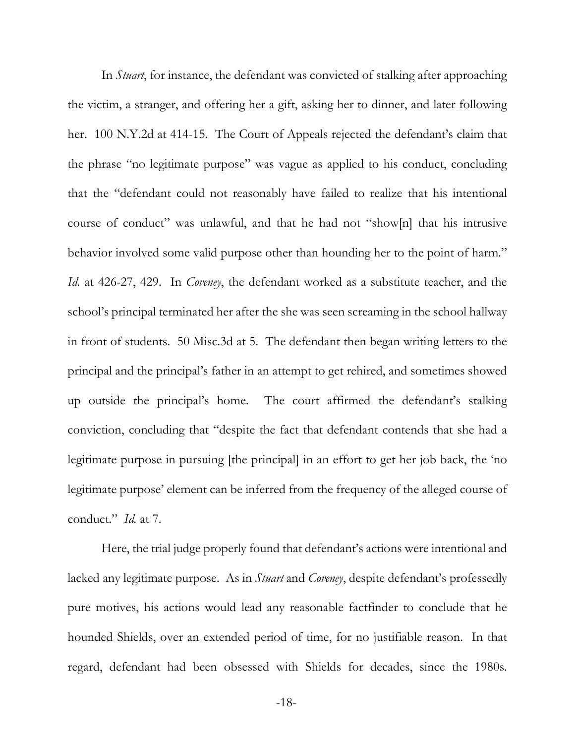In *Stuart*, for instance, the defendant was convicted of stalking after approaching the victim, a stranger, and offering her a gift, asking her to dinner, and later following her. 100 N.Y.2d at 414-15. The Court of Appeals rejected the defendant's claim that the phrase "no legitimate purpose" was vague as applied to his conduct, concluding that the "defendant could not reasonably have failed to realize that his intentional course of conduct" was unlawful, and that he had not "show[n] that his intrusive behavior involved some valid purpose other than hounding her to the point of harm." *Id.* at 426-27, 429. In *Coveney*, the defendant worked as a substitute teacher, and the school's principal terminated her after the she was seen screaming in the school hallway in front of students. 50 Misc.3d at 5. The defendant then began writing letters to the principal and the principal's father in an attempt to get rehired, and sometimes showed up outside the principal's home. The court affirmed the defendant's stalking conviction, concluding that "despite the fact that defendant contends that she had a legitimate purpose in pursuing [the principal] in an effort to get her job back, the 'no legitimate purpose' element can be inferred from the frequency of the alleged course of conduct." *Id.* at 7.

Here, the trial judge properly found that defendant's actions were intentional and lacked any legitimate purpose. As in *Stuart* and *Coveney*, despite defendant's professedly pure motives, his actions would lead any reasonable factfinder to conclude that he hounded Shields, over an extended period of time, for no justifiable reason. In that regard, defendant had been obsessed with Shields for decades, since the 1980s.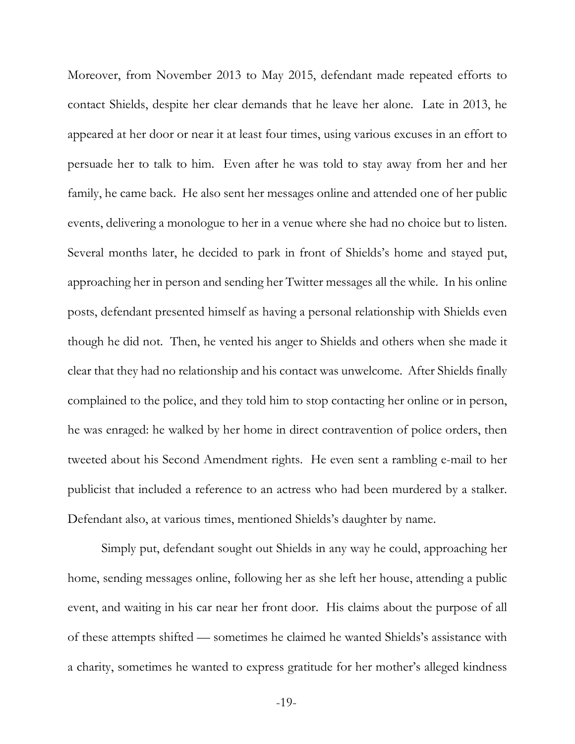Moreover, from November 2013 to May 2015, defendant made repeated efforts to contact Shields, despite her clear demands that he leave her alone. Late in 2013, he appeared at her door or near it at least four times, using various excuses in an effort to persuade her to talk to him. Even after he was told to stay away from her and her family, he came back. He also sent her messages online and attended one of her public events, delivering a monologue to her in a venue where she had no choice but to listen. Several months later, he decided to park in front of Shields's home and stayed put, approaching her in person and sending her Twitter messages all the while. In his online posts, defendant presented himself as having a personal relationship with Shields even though he did not. Then, he vented his anger to Shields and others when she made it clear that they had no relationship and his contact was unwelcome. After Shields finally complained to the police, and they told him to stop contacting her online or in person, he was enraged: he walked by her home in direct contravention of police orders, then tweeted about his Second Amendment rights. He even sent a rambling e-mail to her publicist that included a reference to an actress who had been murdered by a stalker. Defendant also, at various times, mentioned Shields's daughter by name.

Simply put, defendant sought out Shields in any way he could, approaching her home, sending messages online, following her as she left her house, attending a public event, and waiting in his car near her front door. His claims about the purpose of all of these attempts shifted — sometimes he claimed he wanted Shields's assistance with a charity, sometimes he wanted to express gratitude for her mother's alleged kindness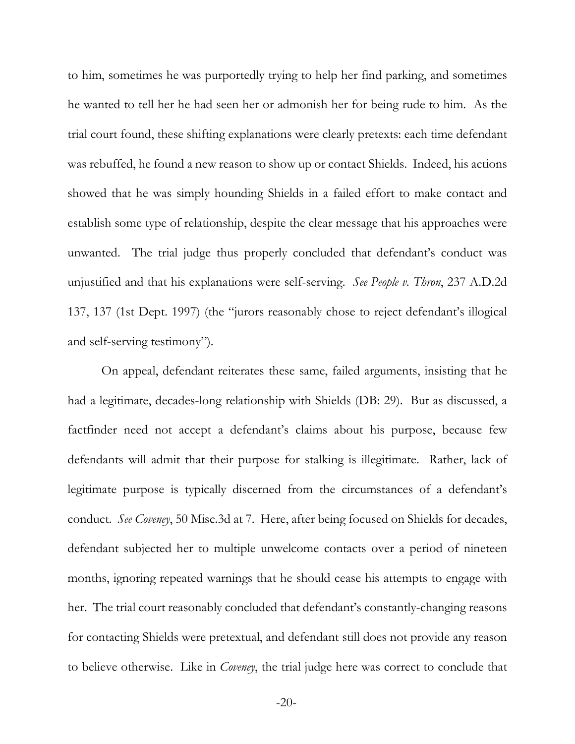to him, sometimes he was purportedly trying to help her find parking, and sometimes he wanted to tell her he had seen her or admonish her for being rude to him. As the trial court found, these shifting explanations were clearly pretexts: each time defendant was rebuffed, he found a new reason to show up or contact Shields. Indeed, his actions showed that he was simply hounding Shields in a failed effort to make contact and establish some type of relationship, despite the clear message that his approaches were unwanted. The trial judge thus properly concluded that defendant's conduct was unjustified and that his explanations were self-serving. *See People v. Thron*, 237 A.D.2d 137, 137 (1st Dept. 1997) (the "jurors reasonably chose to reject defendant's illogical and self-serving testimony").

On appeal, defendant reiterates these same, failed arguments, insisting that he had a legitimate, decades-long relationship with Shields (DB: 29). But as discussed, a factfinder need not accept a defendant's claims about his purpose, because few defendants will admit that their purpose for stalking is illegitimate. Rather, lack of legitimate purpose is typically discerned from the circumstances of a defendant's conduct. *See Coveney*, 50 Misc.3d at 7. Here, after being focused on Shields for decades, defendant subjected her to multiple unwelcome contacts over a period of nineteen months, ignoring repeated warnings that he should cease his attempts to engage with her. The trial court reasonably concluded that defendant's constantly-changing reasons for contacting Shields were pretextual, and defendant still does not provide any reason to believe otherwise. Like in *Coveney*, the trial judge here was correct to conclude that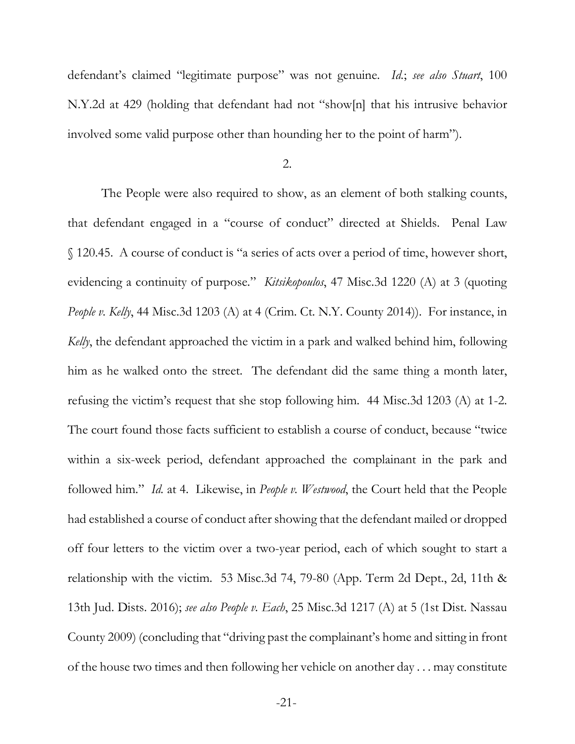defendant's claimed "legitimate purpose" was not genuine. *Id.*; *see also Stuart*, 100 N.Y.2d at 429 (holding that defendant had not "show[n] that his intrusive behavior involved some valid purpose other than hounding her to the point of harm").

#### 2.

The People were also required to show, as an element of both stalking counts, that defendant engaged in a "course of conduct" directed at Shields. Penal Law § 120.45. A course of conduct is "a series of acts over a period of time, however short, evidencing a continuity of purpose." *Kitsikopoulos*, 47 Misc.3d 1220 (A) at 3 (quoting *People v. Kelly*, 44 Misc.3d 1203 (A) at 4 (Crim. Ct. N.Y. County 2014)). For instance, in *Kelly*, the defendant approached the victim in a park and walked behind him, following him as he walked onto the street. The defendant did the same thing a month later, refusing the victim's request that she stop following him. 44 Misc.3d 1203 (A) at 1-2. The court found those facts sufficient to establish a course of conduct, because "twice within a six-week period, defendant approached the complainant in the park and followed him." *Id.* at 4. Likewise, in *People v. Westwood*, the Court held that the People had established a course of conduct after showing that the defendant mailed or dropped off four letters to the victim over a two-year period, each of which sought to start a relationship with the victim. 53 Misc.3d 74, 79-80 (App. Term 2d Dept., 2d, 11th & 13th Jud. Dists. 2016); *see also People v. Each*, 25 Misc.3d 1217 (A) at 5 (1st Dist. Nassau County 2009) (concluding that "driving past the complainant's home and sitting in front of the house two times and then following her vehicle on another day . . . may constitute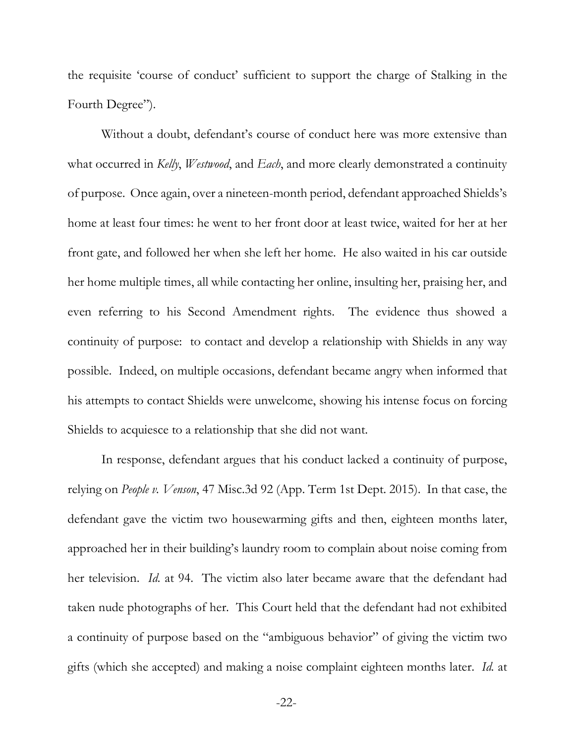the requisite 'course of conduct' sufficient to support the charge of Stalking in the Fourth Degree").

Without a doubt, defendant's course of conduct here was more extensive than what occurred in *Kelly*, *Westwood*, and *Each*, and more clearly demonstrated a continuity of purpose. Once again, over a nineteen-month period, defendant approached Shields's home at least four times: he went to her front door at least twice, waited for her at her front gate, and followed her when she left her home. He also waited in his car outside her home multiple times, all while contacting her online, insulting her, praising her, and even referring to his Second Amendment rights. The evidence thus showed a continuity of purpose: to contact and develop a relationship with Shields in any way possible. Indeed, on multiple occasions, defendant became angry when informed that his attempts to contact Shields were unwelcome, showing his intense focus on forcing Shields to acquiesce to a relationship that she did not want.

In response, defendant argues that his conduct lacked a continuity of purpose, relying on *People v. Venson*, 47 Misc.3d 92 (App. Term 1st Dept. 2015). In that case, the defendant gave the victim two housewarming gifts and then, eighteen months later, approached her in their building's laundry room to complain about noise coming from her television. *Id.* at 94. The victim also later became aware that the defendant had taken nude photographs of her. This Court held that the defendant had not exhibited a continuity of purpose based on the "ambiguous behavior" of giving the victim two gifts (which she accepted) and making a noise complaint eighteen months later. *Id.* at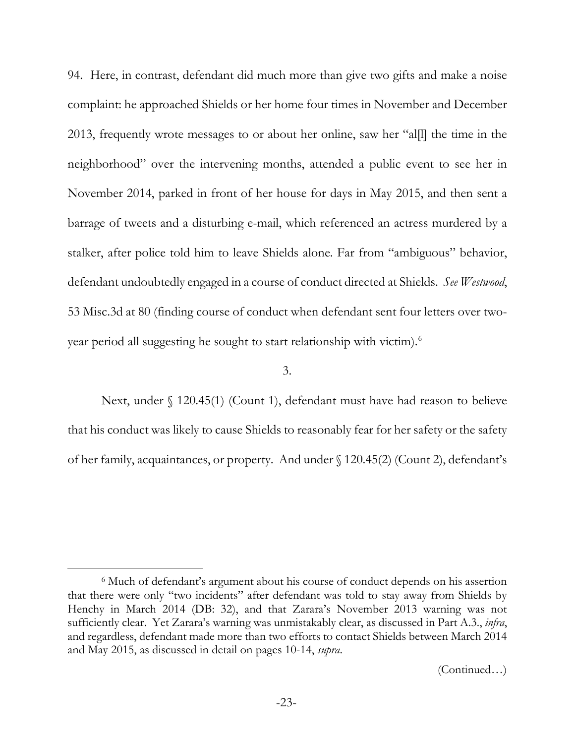94. Here, in contrast, defendant did much more than give two gifts and make a noise complaint: he approached Shields or her home four times in November and December 2013, frequently wrote messages to or about her online, saw her "al[l] the time in the neighborhood" over the intervening months, attended a public event to see her in November 2014, parked in front of her house for days in May 2015, and then sent a barrage of tweets and a disturbing e-mail, which referenced an actress murdered by a stalker, after police told him to leave Shields alone. Far from "ambiguous" behavior, defendant undoubtedly engaged in a course of conduct directed at Shields. *See Westwood*, 53 Misc.3d at 80 (finding course of conduct when defendant sent four letters over twoyear period all suggesting he sought to start relationship with victim).[6](#page-27-0)

#### 3.

Next, under § 120.45(1) (Count 1), defendant must have had reason to believe that his conduct was likely to cause Shields to reasonably fear for her safety or the safety of her family, acquaintances, or property. And under § 120.45(2) (Count 2), defendant's

<span id="page-27-0"></span> <sup>6</sup> Much of defendant's argument about his course of conduct depends on his assertion that there were only "two incidents" after defendant was told to stay away from Shields by Henchy in March 2014 (DB: 32), and that Zarara's November 2013 warning was not sufficiently clear. Yet Zarara's warning was unmistakably clear, as discussed in Part A.3., *infra*, and regardless, defendant made more than two efforts to contact Shields between March 2014 and May 2015, as discussed in detail on pages 10-14, *supra*.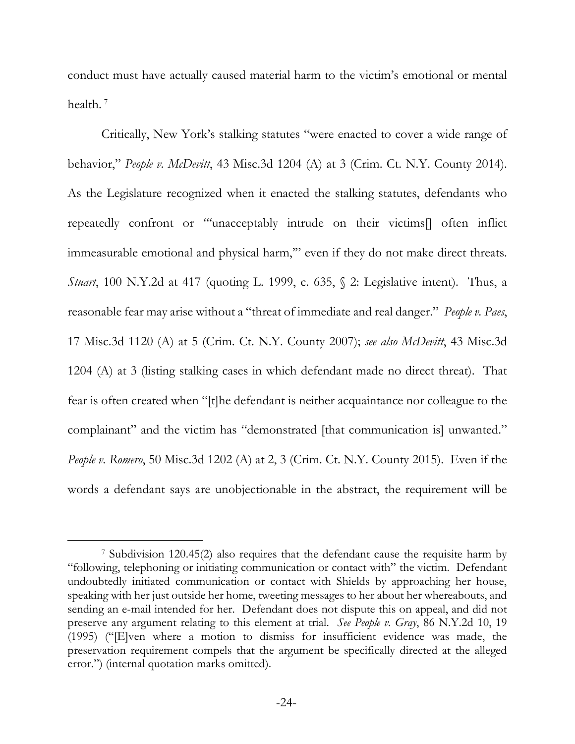conduct must have actually caused material harm to the victim's emotional or mental health.<sup>[7](#page-28-0)</sup>

Critically, New York's stalking statutes "were enacted to cover a wide range of behavior," *People v. McDevitt*, 43 Misc.3d 1204 (A) at 3 (Crim. Ct. N.Y. County 2014). As the Legislature recognized when it enacted the stalking statutes, defendants who repeatedly confront or "'unacceptably intrude on their victims[] often inflict immeasurable emotional and physical harm,'" even if they do not make direct threats. *Stuart*, 100 N.Y.2d at 417 (quoting L. 1999, c. 635, § 2: Legislative intent). Thus, a reasonable fear may arise without a "threat of immediate and real danger." *People v. Paes*, 17 Misc.3d 1120 (A) at 5 (Crim. Ct. N.Y. County 2007); *see also McDevitt*, 43 Misc.3d 1204 (A) at 3 (listing stalking cases in which defendant made no direct threat). That fear is often created when "[t]he defendant is neither acquaintance nor colleague to the complainant" and the victim has "demonstrated [that communication is] unwanted." *People v. Romero*, 50 Misc.3d 1202 (A) at 2, 3 (Crim. Ct. N.Y. County 2015). Even if the words a defendant says are unobjectionable in the abstract, the requirement will be

<span id="page-28-0"></span> <sup>7</sup> Subdivision 120.45(2) also requires that the defendant cause the requisite harm by "following, telephoning or initiating communication or contact with" the victim. Defendant undoubtedly initiated communication or contact with Shields by approaching her house, speaking with her just outside her home, tweeting messages to her about her whereabouts, and sending an e-mail intended for her. Defendant does not dispute this on appeal, and did not preserve any argument relating to this element at trial. *See People v. Gray*, 86 N.Y.2d 10, 19 (1995) ("[E]ven where a motion to dismiss for insufficient evidence was made, the preservation requirement compels that the argument be specifically directed at the alleged error.") (internal quotation marks omitted).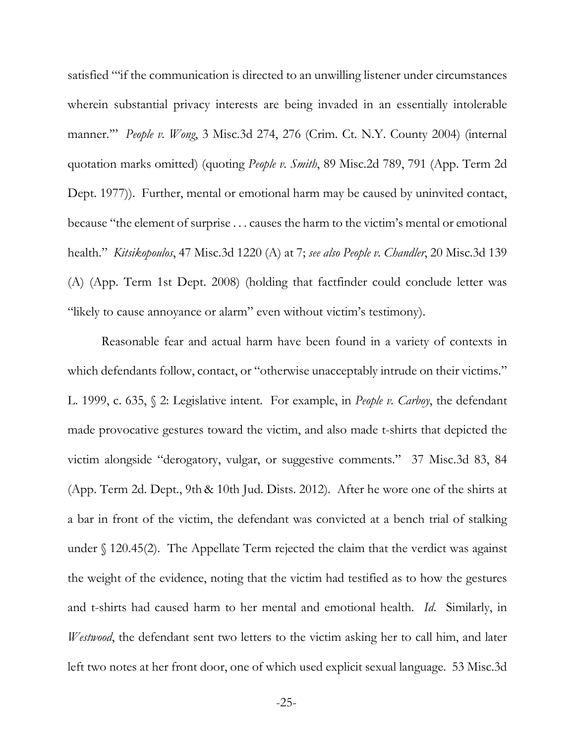satisfied "'if the communication is directed to an unwilling listener under circumstances wherein substantial privacy interests are being invaded in an essentially intolerable manner.'" *People v. Wong*, 3 Misc.3d 274, 276 (Crim. Ct. N.Y. County 2004) (internal quotation marks omitted) (quoting *People v. Smith*, 89 Misc.2d 789, 791 (App. Term 2d Dept. 1977)). Further, mental or emotional harm may be caused by uninvited contact, because "the element of surprise . . . causes the harm to the victim's mental or emotional health." *Kitsikopoulos*, 47 Misc.3d 1220 (A) at 7; *see also People v. Chandler*, 20 Misc.3d 139 (A) (App. Term 1st Dept. 2008) (holding that factfinder could conclude letter was "likely to cause annoyance or alarm" even without victim's testimony).

Reasonable fear and actual harm have been found in a variety of contexts in which defendants follow, contact, or "otherwise unacceptably intrude on their victims." L. 1999, c. 635, § 2: Legislative intent. For example, in *People v. Carboy*, the defendant made provocative gestures toward the victim, and also made t-shirts that depicted the victim alongside "derogatory, vulgar, or suggestive comments." 37 Misc.3d 83, 84 (App. Term 2d. Dept., 9th & 10th Jud. Dists. 2012). After he wore one of the shirts at a bar in front of the victim, the defendant was convicted at a bench trial of stalking under § 120.45(2). The Appellate Term rejected the claim that the verdict was against the weight of the evidence, noting that the victim had testified as to how the gestures and t-shirts had caused harm to her mental and emotional health. *Id*. Similarly, in *Westwood*, the defendant sent two letters to the victim asking her to call him, and later left two notes at her front door, one of which used explicit sexual language. 53 Misc.3d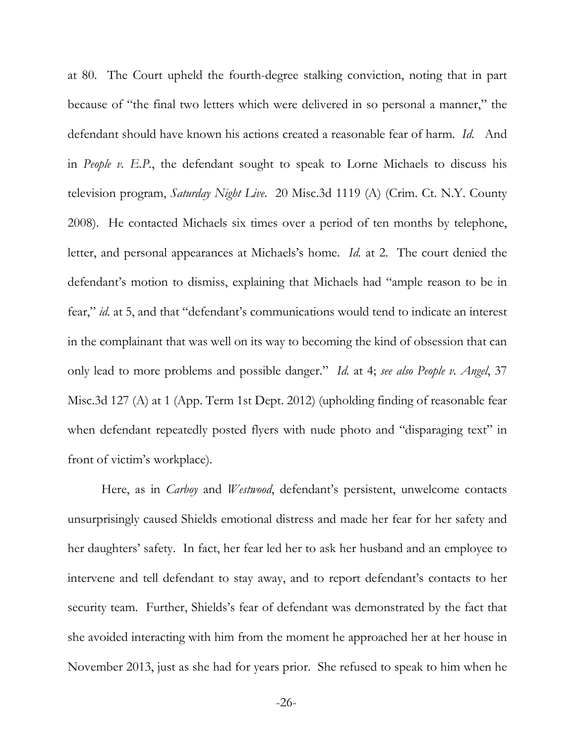at 80. The Court upheld the fourth-degree stalking conviction, noting that in part because of "the final two letters which were delivered in so personal a manner," the defendant should have known his actions created a reasonable fear of harm. *Id.* And in *People v. E.P.*, the defendant sought to speak to Lorne Michaels to discuss his television program, *Saturday Night Live*. 20 Misc.3d 1119 (A) (Crim. Ct. N.Y. County 2008). He contacted Michaels six times over a period of ten months by telephone, letter, and personal appearances at Michaels's home. *Id.* at 2. The court denied the defendant's motion to dismiss, explaining that Michaels had "ample reason to be in fear," *id.* at 5, and that "defendant's communications would tend to indicate an interest in the complainant that was well on its way to becoming the kind of obsession that can only lead to more problems and possible danger." *Id.* at 4; *see also People v. Angel*, 37 Misc.3d 127 (A) at 1 (App. Term 1st Dept. 2012) (upholding finding of reasonable fear when defendant repeatedly posted flyers with nude photo and "disparaging text" in front of victim's workplace).

Here, as in *Carboy* and *Westwood*, defendant's persistent, unwelcome contacts unsurprisingly caused Shields emotional distress and made her fear for her safety and her daughters' safety. In fact, her fear led her to ask her husband and an employee to intervene and tell defendant to stay away, and to report defendant's contacts to her security team. Further, Shields's fear of defendant was demonstrated by the fact that she avoided interacting with him from the moment he approached her at her house in November 2013, just as she had for years prior. She refused to speak to him when he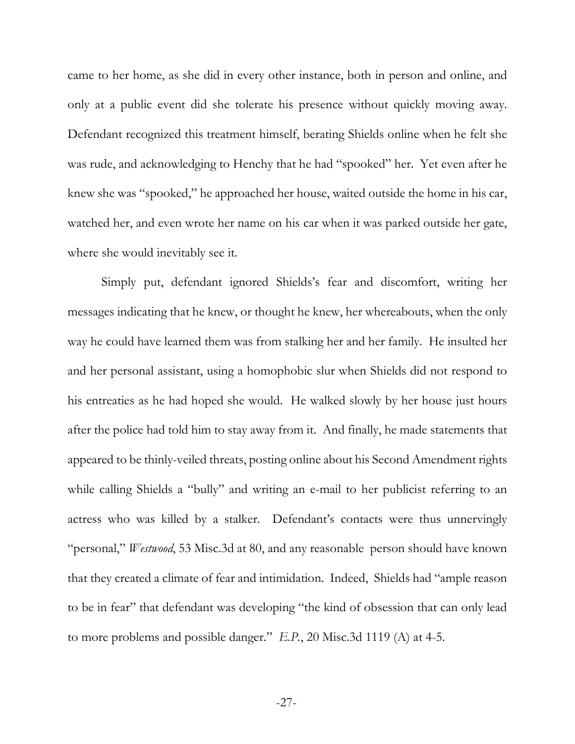came to her home, as she did in every other instance, both in person and online, and only at a public event did she tolerate his presence without quickly moving away. Defendant recognized this treatment himself, berating Shields online when he felt she was rude, and acknowledging to Henchy that he had "spooked" her. Yet even after he knew she was "spooked," he approached her house, waited outside the home in his car, watched her, and even wrote her name on his car when it was parked outside her gate, where she would inevitably see it.

Simply put, defendant ignored Shields's fear and discomfort, writing her messages indicating that he knew, or thought he knew, her whereabouts, when the only way he could have learned them was from stalking her and her family. He insulted her and her personal assistant, using a homophobic slur when Shields did not respond to his entreaties as he had hoped she would. He walked slowly by her house just hours after the police had told him to stay away from it. And finally, he made statements that appeared to be thinly-veiled threats, posting online about his Second Amendment rights while calling Shields a "bully" and writing an e-mail to her publicist referring to an actress who was killed by a stalker. Defendant's contacts were thus unnervingly "personal," *Westwood*, 53 Misc.3d at 80, and any reasonable person should have known that they created a climate of fear and intimidation. Indeed, Shields had "ample reason to be in fear" that defendant was developing "the kind of obsession that can only lead to more problems and possible danger." *E.P.*, 20 Misc.3d 1119 (A) at 4-5.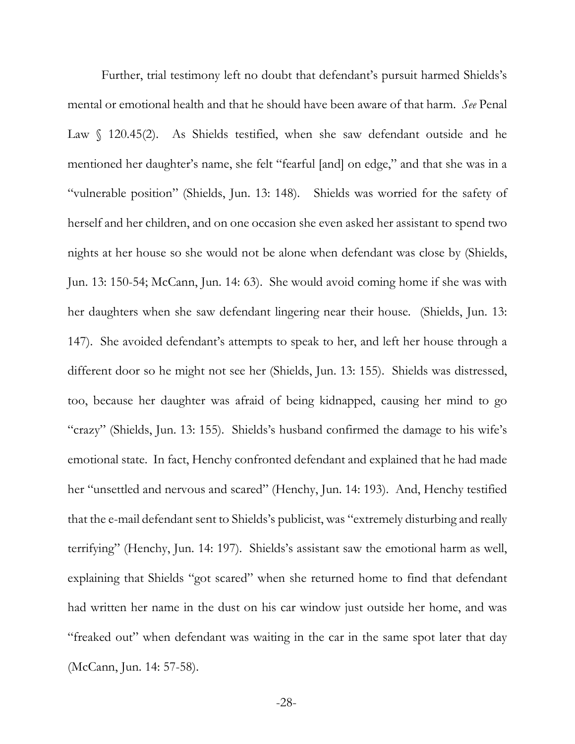Further, trial testimony left no doubt that defendant's pursuit harmed Shields's mental or emotional health and that he should have been aware of that harm. *See* Penal Law § 120.45(2). As Shields testified, when she saw defendant outside and he mentioned her daughter's name, she felt "fearful [and] on edge," and that she was in a "vulnerable position" (Shields, Jun. 13: 148). Shields was worried for the safety of herself and her children, and on one occasion she even asked her assistant to spend two nights at her house so she would not be alone when defendant was close by (Shields, Jun. 13: 150-54; McCann, Jun. 14: 63). She would avoid coming home if she was with her daughters when she saw defendant lingering near their house. (Shields, Jun. 13: 147). She avoided defendant's attempts to speak to her, and left her house through a different door so he might not see her (Shields, Jun. 13: 155). Shields was distressed, too, because her daughter was afraid of being kidnapped, causing her mind to go "crazy" (Shields, Jun. 13: 155). Shields's husband confirmed the damage to his wife's emotional state. In fact, Henchy confronted defendant and explained that he had made her "unsettled and nervous and scared" (Henchy, Jun. 14: 193). And, Henchy testified that the e-mail defendant sent to Shields's publicist, was "extremely disturbing and really terrifying" (Henchy, Jun. 14: 197). Shields's assistant saw the emotional harm as well, explaining that Shields "got scared" when she returned home to find that defendant had written her name in the dust on his car window just outside her home, and was "freaked out" when defendant was waiting in the car in the same spot later that day (McCann, Jun. 14: 57-58).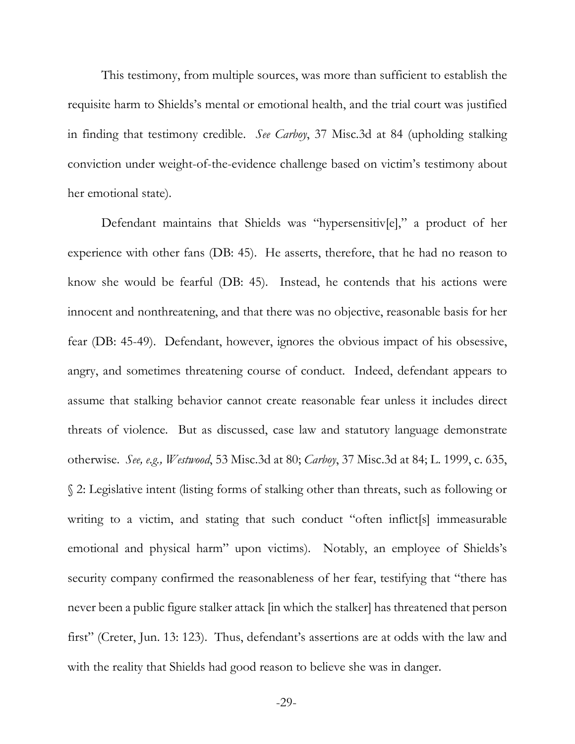This testimony, from multiple sources, was more than sufficient to establish the requisite harm to Shields's mental or emotional health, and the trial court was justified in finding that testimony credible. *See Carboy*, 37 Misc.3d at 84 (upholding stalking conviction under weight-of-the-evidence challenge based on victim's testimony about her emotional state).

Defendant maintains that Shields was "hypersensitiv[e]," a product of her experience with other fans (DB: 45). He asserts, therefore, that he had no reason to know she would be fearful (DB: 45). Instead, he contends that his actions were innocent and nonthreatening, and that there was no objective, reasonable basis for her fear (DB: 45-49). Defendant, however, ignores the obvious impact of his obsessive, angry, and sometimes threatening course of conduct. Indeed, defendant appears to assume that stalking behavior cannot create reasonable fear unless it includes direct threats of violence. But as discussed, case law and statutory language demonstrate otherwise. *See, e.g., Westwood*, 53 Misc.3d at 80; *Carboy*, 37 Misc.3d at 84; L. 1999, c. 635, § 2: Legislative intent (listing forms of stalking other than threats, such as following or writing to a victim, and stating that such conduct "often inflict[s] immeasurable emotional and physical harm" upon victims). Notably, an employee of Shields's security company confirmed the reasonableness of her fear, testifying that "there has never been a public figure stalker attack [in which the stalker] has threatened that person first" (Creter, Jun. 13: 123). Thus, defendant's assertions are at odds with the law and with the reality that Shields had good reason to believe she was in danger.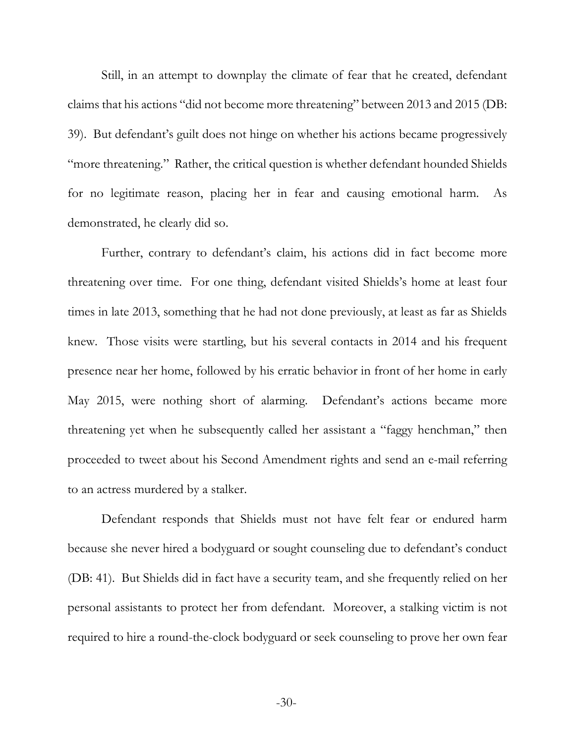Still, in an attempt to downplay the climate of fear that he created, defendant claims that his actions "did not become more threatening" between 2013 and 2015 (DB: 39). But defendant's guilt does not hinge on whether his actions became progressively "more threatening." Rather, the critical question is whether defendant hounded Shields for no legitimate reason, placing her in fear and causing emotional harm. As demonstrated, he clearly did so.

Further, contrary to defendant's claim, his actions did in fact become more threatening over time. For one thing, defendant visited Shields's home at least four times in late 2013, something that he had not done previously, at least as far as Shields knew. Those visits were startling, but his several contacts in 2014 and his frequent presence near her home, followed by his erratic behavior in front of her home in early May 2015, were nothing short of alarming. Defendant's actions became more threatening yet when he subsequently called her assistant a "faggy henchman," then proceeded to tweet about his Second Amendment rights and send an e-mail referring to an actress murdered by a stalker.

Defendant responds that Shields must not have felt fear or endured harm because she never hired a bodyguard or sought counseling due to defendant's conduct (DB: 41). But Shields did in fact have a security team, and she frequently relied on her personal assistants to protect her from defendant. Moreover, a stalking victim is not required to hire a round-the-clock bodyguard or seek counseling to prove her own fear

-30-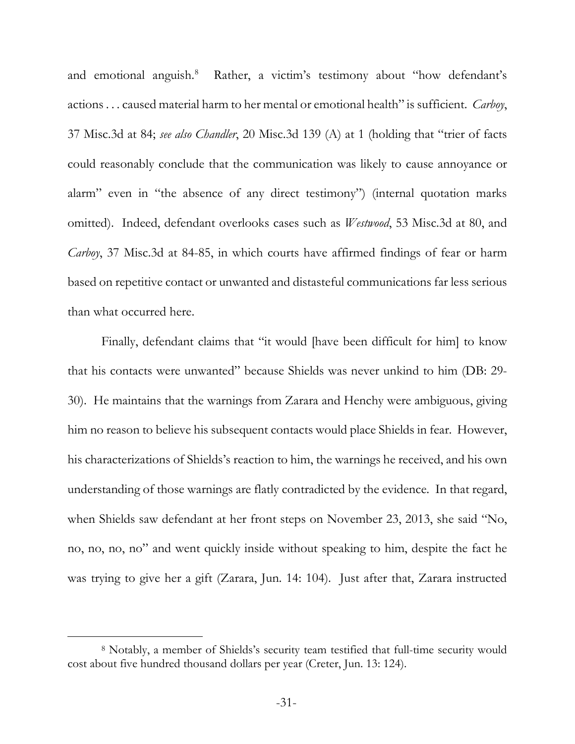and emotional anguish[.8](#page-35-0) Rather, a victim's testimony about "how defendant's actions . . . caused material harm to her mental or emotional health" is sufficient. *Carboy*, 37 Misc.3d at 84; *see also Chandler*, 20 Misc.3d 139 (A) at 1 (holding that "trier of facts could reasonably conclude that the communication was likely to cause annoyance or alarm" even in "the absence of any direct testimony") (internal quotation marks omitted). Indeed, defendant overlooks cases such as *Westwood*, 53 Misc.3d at 80, and *Carboy*, 37 Misc.3d at 84-85, in which courts have affirmed findings of fear or harm based on repetitive contact or unwanted and distasteful communications far less serious than what occurred here.

Finally, defendant claims that "it would [have been difficult for him] to know that his contacts were unwanted" because Shields was never unkind to him (DB: 29- 30). He maintains that the warnings from Zarara and Henchy were ambiguous, giving him no reason to believe his subsequent contacts would place Shields in fear. However, his characterizations of Shields's reaction to him, the warnings he received, and his own understanding of those warnings are flatly contradicted by the evidence. In that regard, when Shields saw defendant at her front steps on November 23, 2013, she said "No, no, no, no, no" and went quickly inside without speaking to him, despite the fact he was trying to give her a gift (Zarara, Jun. 14: 104). Just after that, Zarara instructed

<span id="page-35-0"></span> <sup>8</sup> Notably, a member of Shields's security team testified that full-time security would cost about five hundred thousand dollars per year (Creter, Jun. 13: 124).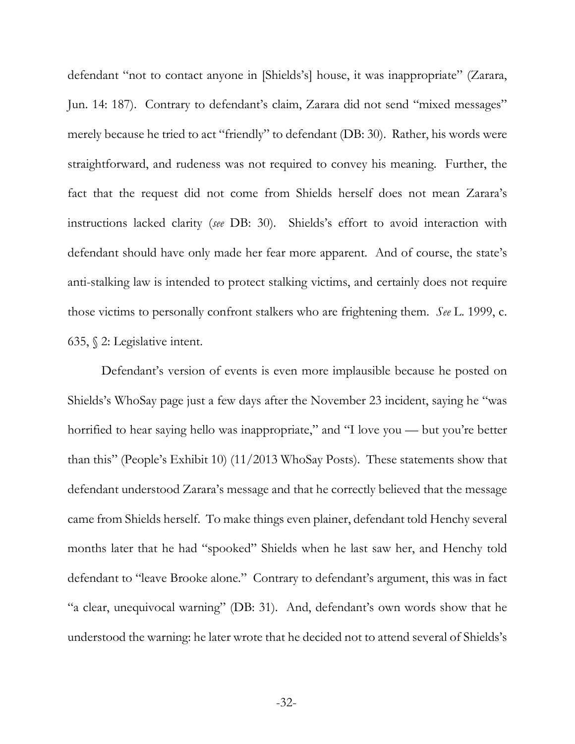defendant "not to contact anyone in [Shields's] house, it was inappropriate" (Zarara, Jun. 14: 187). Contrary to defendant's claim, Zarara did not send "mixed messages" merely because he tried to act "friendly" to defendant (DB: 30). Rather, his words were straightforward, and rudeness was not required to convey his meaning. Further, the fact that the request did not come from Shields herself does not mean Zarara's instructions lacked clarity (*see* DB: 30). Shields's effort to avoid interaction with defendant should have only made her fear more apparent. And of course, the state's anti-stalking law is intended to protect stalking victims, and certainly does not require those victims to personally confront stalkers who are frightening them. *See* L. 1999, c. 635, § 2: Legislative intent.

Defendant's version of events is even more implausible because he posted on Shields's WhoSay page just a few days after the November 23 incident, saying he "was horrified to hear saying hello was inappropriate," and "I love you — but you're better than this" (People's Exhibit 10) (11/2013 WhoSay Posts). These statements show that defendant understood Zarara's message and that he correctly believed that the message came from Shields herself. To make things even plainer, defendant told Henchy several months later that he had "spooked" Shields when he last saw her, and Henchy told defendant to "leave Brooke alone." Contrary to defendant's argument, this was in fact "a clear, unequivocal warning" (DB: 31). And, defendant's own words show that he understood the warning: he later wrote that he decided not to attend several of Shields's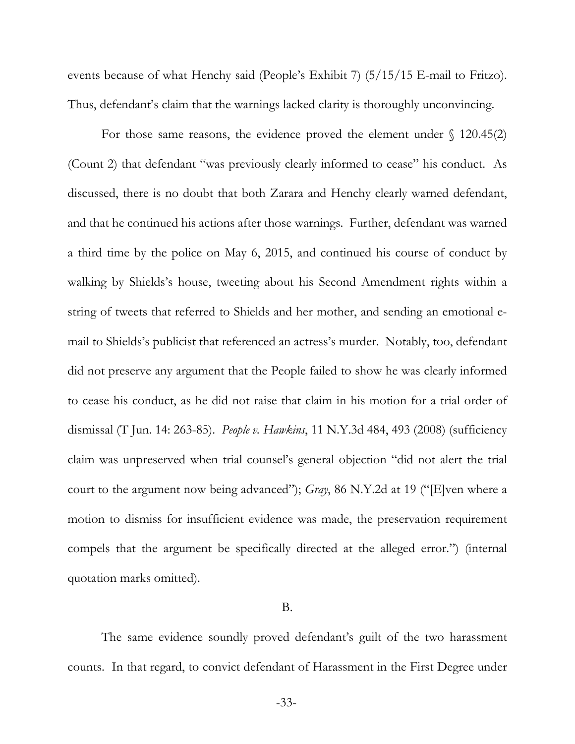events because of what Henchy said (People's Exhibit 7) (5/15/15 E-mail to Fritzo). Thus, defendant's claim that the warnings lacked clarity is thoroughly unconvincing.

For those same reasons, the evidence proved the element under  $\{(120.45(2)\})$ (Count 2) that defendant "was previously clearly informed to cease" his conduct. As discussed, there is no doubt that both Zarara and Henchy clearly warned defendant, and that he continued his actions after those warnings. Further, defendant was warned a third time by the police on May 6, 2015, and continued his course of conduct by walking by Shields's house, tweeting about his Second Amendment rights within a string of tweets that referred to Shields and her mother, and sending an emotional email to Shields's publicist that referenced an actress's murder. Notably, too, defendant did not preserve any argument that the People failed to show he was clearly informed to cease his conduct, as he did not raise that claim in his motion for a trial order of dismissal (T Jun. 14: 263-85). *People v. Hawkins*, 11 N.Y.3d 484, 493 (2008) (sufficiency claim was unpreserved when trial counsel's general objection "did not alert the trial court to the argument now being advanced"); *Gray*, 86 N.Y.2d at 19 ("[E]ven where a motion to dismiss for insufficient evidence was made, the preservation requirement compels that the argument be specifically directed at the alleged error.") (internal quotation marks omitted).

#### B.

The same evidence soundly proved defendant's guilt of the two harassment counts. In that regard, to convict defendant of Harassment in the First Degree under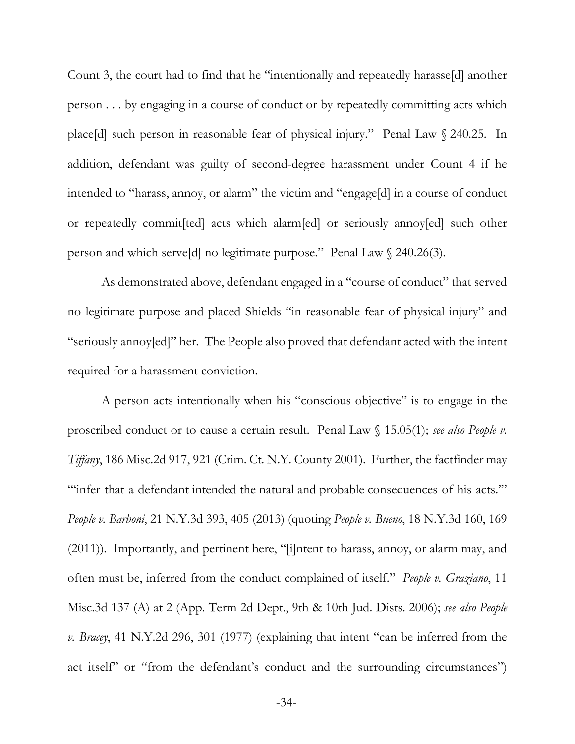Count 3, the court had to find that he "intentionally and repeatedly harasse[d] another person . . . by engaging in a course of conduct or by repeatedly committing acts which place[d] such person in reasonable fear of physical injury." Penal Law § 240.25. In addition, defendant was guilty of second-degree harassment under Count 4 if he intended to "harass, annoy, or alarm" the victim and "engage[d] in a course of conduct or repeatedly commit[ted] acts which alarm[ed] or seriously annoy[ed] such other person and which serve[d] no legitimate purpose." Penal Law § 240.26(3).

As demonstrated above, defendant engaged in a "course of conduct" that served no legitimate purpose and placed Shields "in reasonable fear of physical injury" and "seriously annoy[ed]" her. The People also proved that defendant acted with the intent required for a harassment conviction.

A person acts intentionally when his "conscious objective" is to engage in the proscribed conduct or to cause a certain result. Penal Law § 15.05(1); *see also People v. Tiffany*, 186 Misc.2d 917, 921 (Crim. Ct. N.Y. County 2001). Further, the factfinder may "infer that a defendant intended the natural and probable consequences of his acts."" *People v. Barboni*, 21 N.Y.3d 393, 405 (2013) (quoting *People v. Bueno*, 18 N.Y.3d 160, 169 (2011)). Importantly, and pertinent here, "[i]ntent to harass, annoy, or alarm may, and often must be, inferred from the conduct complained of itself." *People v. Graziano*, 11 Misc.3d 137 (A) at 2 (App. Term 2d Dept., 9th & 10th Jud. Dists. 2006); *see also People v. Bracey*, 41 N.Y.2d 296, 301 (1977) (explaining that intent "can be inferred from the act itself" or "from the defendant's conduct and the surrounding circumstances")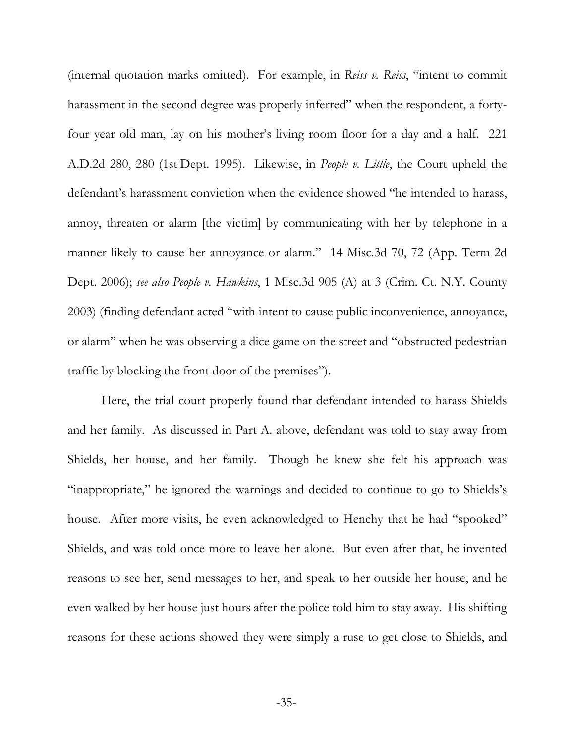(internal quotation marks omitted). For example, in *Reiss v. Reiss*, "intent to commit harassment in the second degree was properly inferred" when the respondent, a fortyfour year old man, lay on his mother's living room floor for a day and a half. 221 A.D.2d 280, 280 (1st Dept. 1995). Likewise, in *People v. Little*, the Court upheld the defendant's harassment conviction when the evidence showed "he intended to harass, annoy, threaten or alarm [the victim] by communicating with her by telephone in a manner likely to cause her annoyance or alarm." 14 Misc.3d 70, 72 (App. Term 2d Dept. 2006); *see also People v. Hawkins*, 1 Misc.3d 905 (A) at 3 (Crim. Ct. N.Y. County 2003) (finding defendant acted "with intent to cause public inconvenience, annoyance, or alarm" when he was observing a dice game on the street and "obstructed pedestrian traffic by blocking the front door of the premises").

Here, the trial court properly found that defendant intended to harass Shields and her family. As discussed in Part A. above, defendant was told to stay away from Shields, her house, and her family. Though he knew she felt his approach was "inappropriate," he ignored the warnings and decided to continue to go to Shields's house. After more visits, he even acknowledged to Henchy that he had "spooked" Shields, and was told once more to leave her alone. But even after that, he invented reasons to see her, send messages to her, and speak to her outside her house, and he even walked by her house just hours after the police told him to stay away. His shifting reasons for these actions showed they were simply a ruse to get close to Shields, and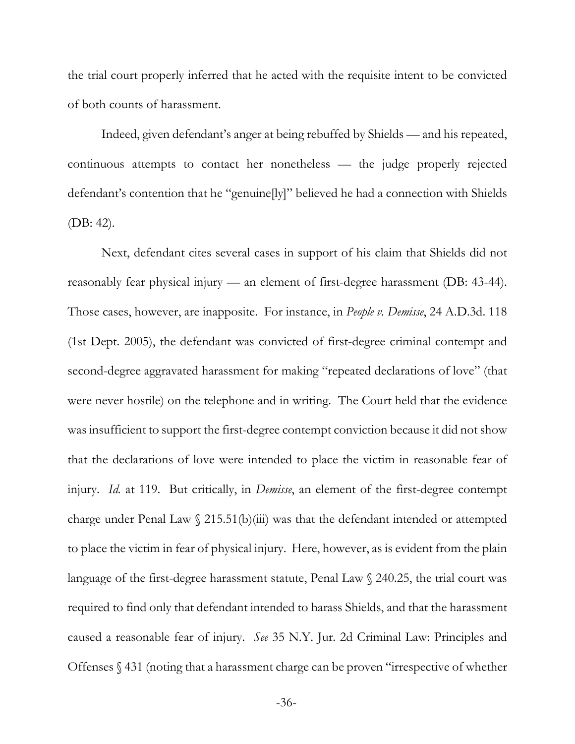the trial court properly inferred that he acted with the requisite intent to be convicted of both counts of harassment.

Indeed, given defendant's anger at being rebuffed by Shields — and his repeated, continuous attempts to contact her nonetheless — the judge properly rejected defendant's contention that he "genuine[ly]" believed he had a connection with Shields (DB: 42).

Next, defendant cites several cases in support of his claim that Shields did not reasonably fear physical injury — an element of first-degree harassment (DB: 43-44). Those cases, however, are inapposite. For instance, in *People v. Demisse*, 24 A.D.3d. 118 (1st Dept. 2005), the defendant was convicted of first-degree criminal contempt and second-degree aggravated harassment for making "repeated declarations of love" (that were never hostile) on the telephone and in writing. The Court held that the evidence was insufficient to support the first-degree contempt conviction because it did not show that the declarations of love were intended to place the victim in reasonable fear of injury. *Id.* at 119. But critically, in *Demisse*, an element of the first-degree contempt charge under Penal Law  $\S$  215.51(b)(iii) was that the defendant intended or attempted to place the victim in fear of physical injury. Here, however, as is evident from the plain language of the first-degree harassment statute, Penal Law § 240.25, the trial court was required to find only that defendant intended to harass Shields, and that the harassment caused a reasonable fear of injury. *See* 35 N.Y. Jur. 2d Criminal Law: Principles and Offenses § 431 (noting that a harassment charge can be proven "irrespective of whether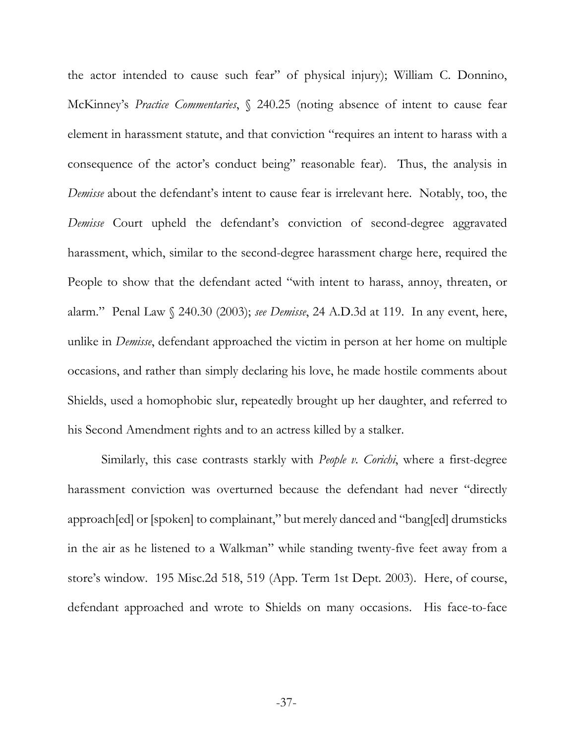the actor intended to cause such fear" of physical injury); William C. Donnino, McKinney's *Practice Commentaries*, § 240.25 (noting absence of intent to cause fear element in harassment statute, and that conviction "requires an intent to harass with a consequence of the actor's conduct being" reasonable fear). Thus, the analysis in *Demisse* about the defendant's intent to cause fear is irrelevant here. Notably, too, the *Demisse* Court upheld the defendant's conviction of second-degree aggravated harassment, which, similar to the second-degree harassment charge here, required the People to show that the defendant acted "with intent to harass, annoy, threaten, or alarm." Penal Law § 240.30 (2003); *see Demisse*, 24 A.D.3d at 119.In any event, here, unlike in *Demisse*, defendant approached the victim in person at her home on multiple occasions, and rather than simply declaring his love, he made hostile comments about Shields, used a homophobic slur, repeatedly brought up her daughter, and referred to his Second Amendment rights and to an actress killed by a stalker.

Similarly, this case contrasts starkly with *People v. Corichi*, where a first-degree harassment conviction was overturned because the defendant had never "directly approach[ed] or [spoken] to complainant," but merely danced and "bang[ed] drumsticks in the air as he listened to a Walkman" while standing twenty-five feet away from a store's window. 195 Misc.2d 518, 519 (App. Term 1st Dept. 2003). Here, of course, defendant approached and wrote to Shields on many occasions. His face-to-face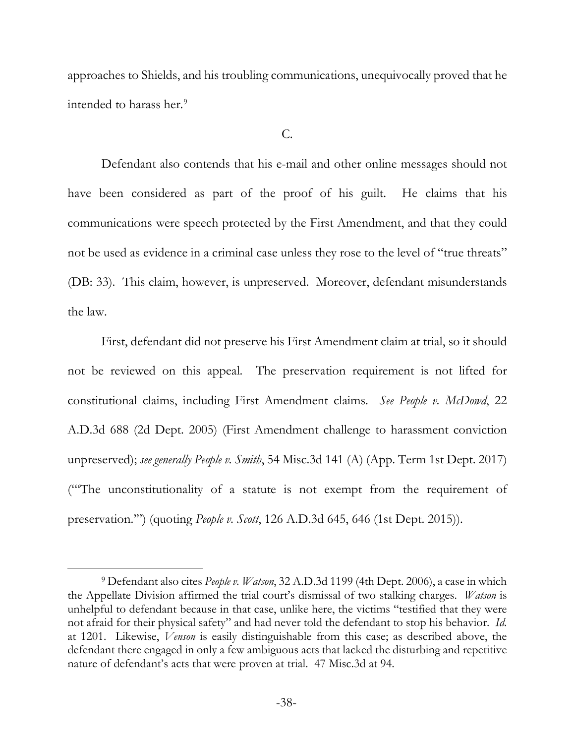approaches to Shields, and his troubling communications, unequivocally proved that he intended to harass her.<sup>[9](#page-42-0)</sup>

#### C.

Defendant also contends that his e-mail and other online messages should not have been considered as part of the proof of his guilt. He claims that his communications were speech protected by the First Amendment, and that they could not be used as evidence in a criminal case unless they rose to the level of "true threats" (DB: 33). This claim, however, is unpreserved. Moreover, defendant misunderstands the law.

First, defendant did not preserve his First Amendment claim at trial, so it should not be reviewed on this appeal. The preservation requirement is not lifted for constitutional claims, including First Amendment claims. *See People v. McDowd*, 22 A.D.3d 688 (2d Dept. 2005) (First Amendment challenge to harassment conviction unpreserved); *see generally People v. Smith*, 54 Misc.3d 141 (A) (App. Term 1st Dept. 2017) ("'The unconstitutionality of a statute is not exempt from the requirement of preservation.'") (quoting *People v. Scott*, 126 A.D.3d 645, 646 (1st Dept. 2015)).

<span id="page-42-0"></span> <sup>9</sup> Defendant also cites *People v. Watson*, 32 A.D.3d 1199 (4th Dept. 2006), a case in which the Appellate Division affirmed the trial court's dismissal of two stalking charges. *Watson* is unhelpful to defendant because in that case, unlike here, the victims "testified that they were not afraid for their physical safety" and had never told the defendant to stop his behavior. *Id.* at 1201. Likewise, *Venson* is easily distinguishable from this case; as described above, the defendant there engaged in only a few ambiguous acts that lacked the disturbing and repetitive nature of defendant's acts that were proven at trial. 47 Misc.3d at 94.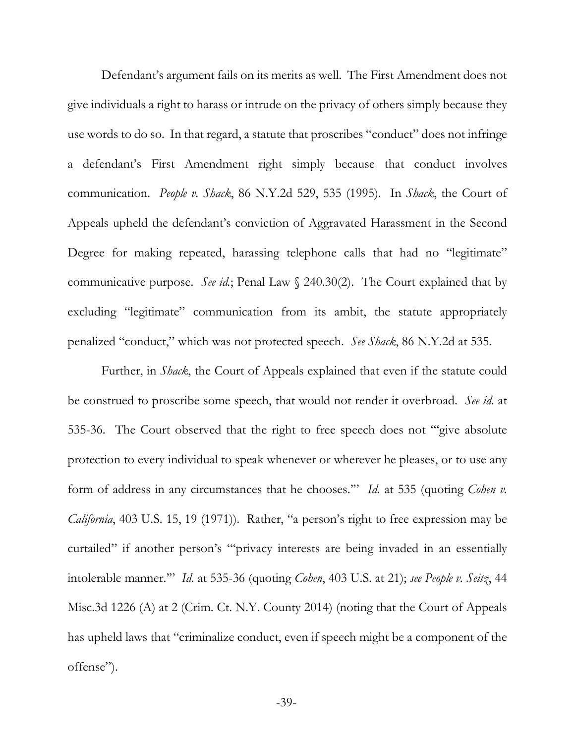Defendant's argument fails on its merits as well. The First Amendment does not give individuals a right to harass or intrude on the privacy of others simply because they use words to do so. In that regard, a statute that proscribes "conduct" does not infringe a defendant's First Amendment right simply because that conduct involves communication. *People v. Shack*, 86 N.Y.2d 529, 535 (1995). In *Shack*, the Court of Appeals upheld the defendant's conviction of Aggravated Harassment in the Second Degree for making repeated, harassing telephone calls that had no "legitimate" communicative purpose. *See id.*; Penal Law § 240.30(2). The Court explained that by excluding "legitimate" communication from its ambit, the statute appropriately penalized "conduct," which was not protected speech. *See Shack*, 86 N.Y.2d at 535.

Further, in *Shack*, the Court of Appeals explained that even if the statute could be construed to proscribe some speech, that would not render it overbroad. *See id.* at 535-36. The Court observed that the right to free speech does not "'give absolute protection to every individual to speak whenever or wherever he pleases, or to use any form of address in any circumstances that he chooses.'" *Id.* at 535 (quoting *Cohen v. California*, 403 U.S. 15, 19 (1971)). Rather, "a person's right to free expression may be curtailed" if another person's "'privacy interests are being invaded in an essentially intolerable manner.'" *Id.* at 535-36 (quoting *Cohen*, 403 U.S. at 21); *see People v. Seitz*, 44 Misc.3d 1226 (A) at 2 (Crim. Ct. N.Y. County 2014) (noting that the Court of Appeals has upheld laws that "criminalize conduct, even if speech might be a component of the offense").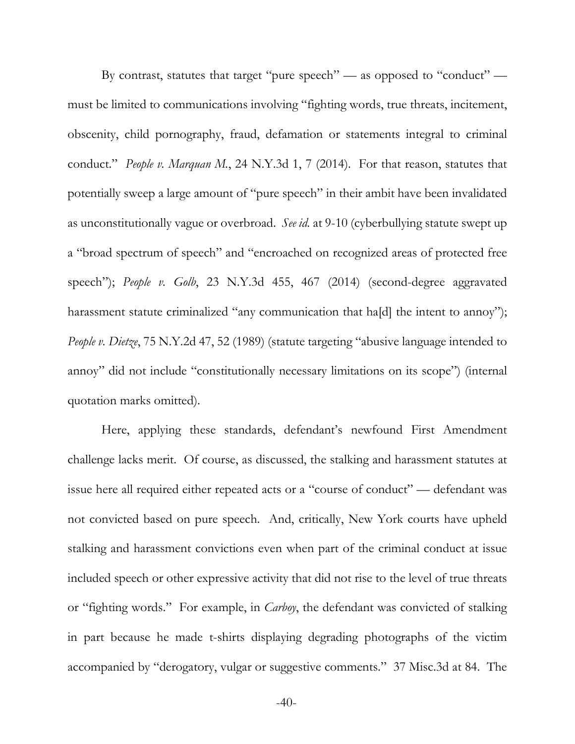By contrast, statutes that target "pure speech" — as opposed to "conduct" must be limited to communications involving "fighting words, true threats, incitement, obscenity, child pornography, fraud, defamation or statements integral to criminal conduct." *People v. Marquan M.*, 24 N.Y.3d 1, 7 (2014). For that reason, statutes that potentially sweep a large amount of "pure speech" in their ambit have been invalidated as unconstitutionally vague or overbroad. *See id.* at 9-10 (cyberbullying statute swept up a "broad spectrum of speech" and "encroached on recognized areas of protected free speech"); *People v. Golb*, 23 N.Y.3d 455, 467 (2014) (second-degree aggravated harassment statute criminalized "any communication that ha[d] the intent to annoy"); *People v. Dietze*, 75 N.Y.2d 47, 52 (1989) (statute targeting "abusive language intended to annoy" did not include "constitutionally necessary limitations on its scope") (internal quotation marks omitted).

Here, applying these standards, defendant's newfound First Amendment challenge lacks merit. Of course, as discussed, the stalking and harassment statutes at issue here all required either repeated acts or a "course of conduct" — defendant was not convicted based on pure speech. And, critically, New York courts have upheld stalking and harassment convictions even when part of the criminal conduct at issue included speech or other expressive activity that did not rise to the level of true threats or "fighting words." For example, in *Carboy*, the defendant was convicted of stalking in part because he made t-shirts displaying degrading photographs of the victim accompanied by "derogatory, vulgar or suggestive comments." 37 Misc.3d at 84. The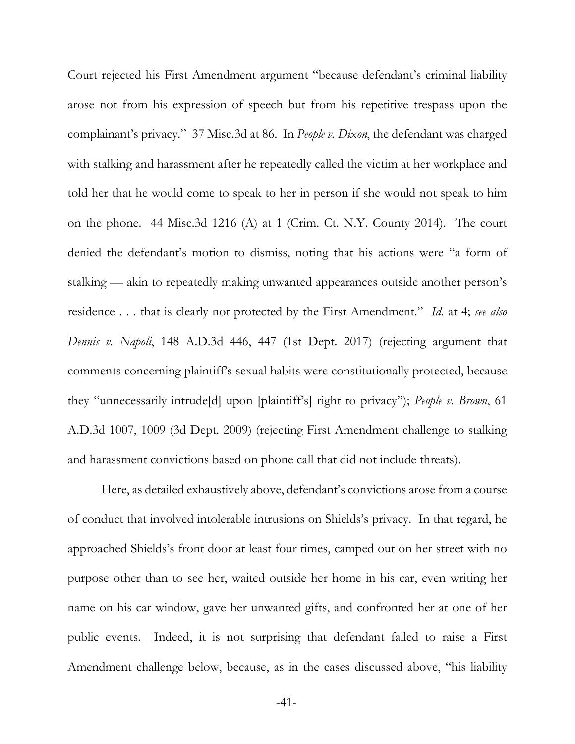Court rejected his First Amendment argument "because defendant's criminal liability arose not from his expression of speech but from his repetitive trespass upon the complainant's privacy." 37 Misc.3d at 86. In *People v. Dixon*, the defendant was charged with stalking and harassment after he repeatedly called the victim at her workplace and told her that he would come to speak to her in person if she would not speak to him on the phone. 44 Misc.3d 1216 (A) at 1 (Crim. Ct. N.Y. County 2014). The court denied the defendant's motion to dismiss, noting that his actions were "a form of stalking — akin to repeatedly making unwanted appearances outside another person's residence . . . that is clearly not protected by the First Amendment." *Id.* at 4; *see also Dennis v. Napoli*, 148 A.D.3d 446, 447 (1st Dept. 2017) (rejecting argument that comments concerning plaintiff's sexual habits were constitutionally protected, because they "unnecessarily intrude[d] upon [plaintiff's] right to privacy"); *People v. Brown*, 61 A.D.3d 1007, 1009 (3d Dept. 2009) (rejecting First Amendment challenge to stalking and harassment convictions based on phone call that did not include threats).

Here, as detailed exhaustively above, defendant's convictions arose from a course of conduct that involved intolerable intrusions on Shields's privacy. In that regard, he approached Shields's front door at least four times, camped out on her street with no purpose other than to see her, waited outside her home in his car, even writing her name on his car window, gave her unwanted gifts, and confronted her at one of her public events. Indeed, it is not surprising that defendant failed to raise a First Amendment challenge below, because, as in the cases discussed above, "his liability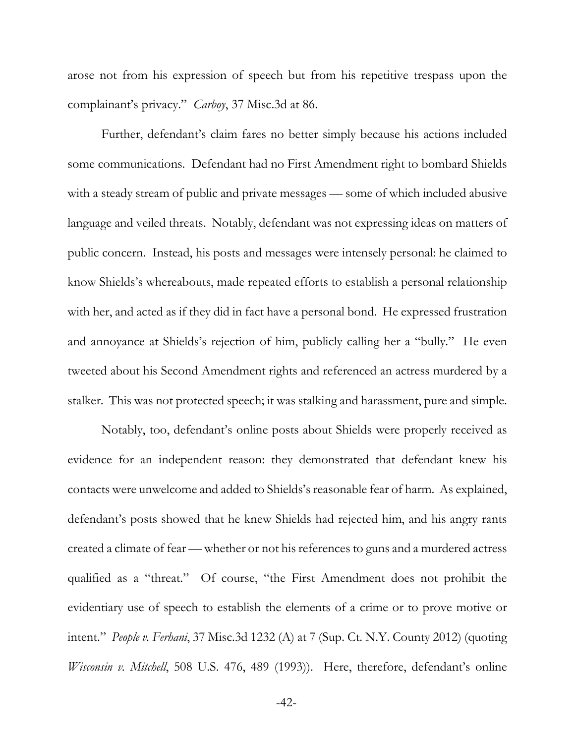arose not from his expression of speech but from his repetitive trespass upon the complainant's privacy." *Carboy*, 37 Misc.3d at 86.

Further, defendant's claim fares no better simply because his actions included some communications. Defendant had no First Amendment right to bombard Shields with a steady stream of public and private messages — some of which included abusive language and veiled threats. Notably, defendant was not expressing ideas on matters of public concern. Instead, his posts and messages were intensely personal: he claimed to know Shields's whereabouts, made repeated efforts to establish a personal relationship with her, and acted as if they did in fact have a personal bond. He expressed frustration and annoyance at Shields's rejection of him, publicly calling her a "bully." He even tweeted about his Second Amendment rights and referenced an actress murdered by a stalker. This was not protected speech; it was stalking and harassment, pure and simple.

Notably, too, defendant's online posts about Shields were properly received as evidence for an independent reason: they demonstrated that defendant knew his contacts were unwelcome and added to Shields's reasonable fear of harm. As explained, defendant's posts showed that he knew Shields had rejected him, and his angry rants created a climate of fear — whether or not his references to guns and a murdered actress qualified as a "threat." Of course, "the First Amendment does not prohibit the evidentiary use of speech to establish the elements of a crime or to prove motive or intent." *People v. Ferhani*, 37 Misc.3d 1232 (A) at 7 (Sup. Ct. N.Y. County 2012) (quoting *Wisconsin v. Mitchell*, 508 U.S. 476, 489 (1993)). Here, therefore, defendant's online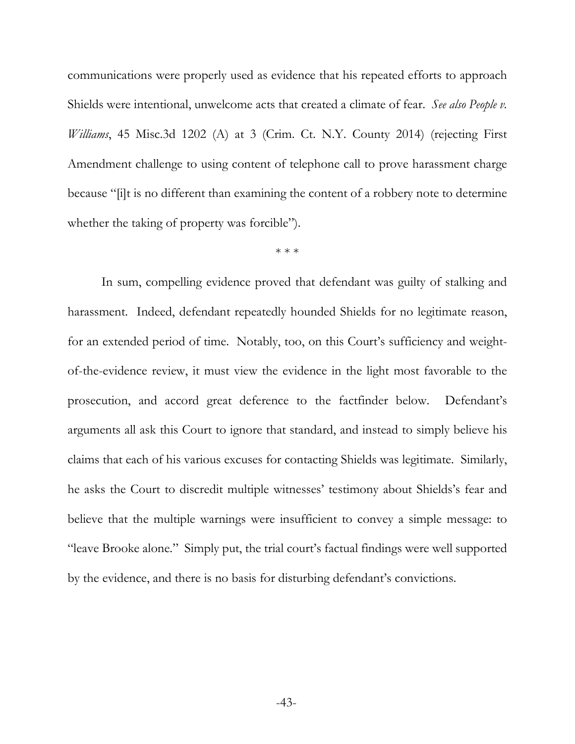communications were properly used as evidence that his repeated efforts to approach Shields were intentional, unwelcome acts that created a climate of fear. *See also People v. Williams*, 45 Misc.3d 1202 (A) at 3 (Crim. Ct. N.Y. County 2014) (rejecting First Amendment challenge to using content of telephone call to prove harassment charge because "[i]t is no different than examining the content of a robbery note to determine whether the taking of property was forcible").

\* \* \*

In sum, compelling evidence proved that defendant was guilty of stalking and harassment. Indeed, defendant repeatedly hounded Shields for no legitimate reason, for an extended period of time. Notably, too, on this Court's sufficiency and weightof-the-evidence review, it must view the evidence in the light most favorable to the prosecution, and accord great deference to the factfinder below. Defendant's arguments all ask this Court to ignore that standard, and instead to simply believe his claims that each of his various excuses for contacting Shields was legitimate. Similarly, he asks the Court to discredit multiple witnesses' testimony about Shields's fear and believe that the multiple warnings were insufficient to convey a simple message: to "leave Brooke alone." Simply put, the trial court's factual findings were well supported by the evidence, and there is no basis for disturbing defendant's convictions.